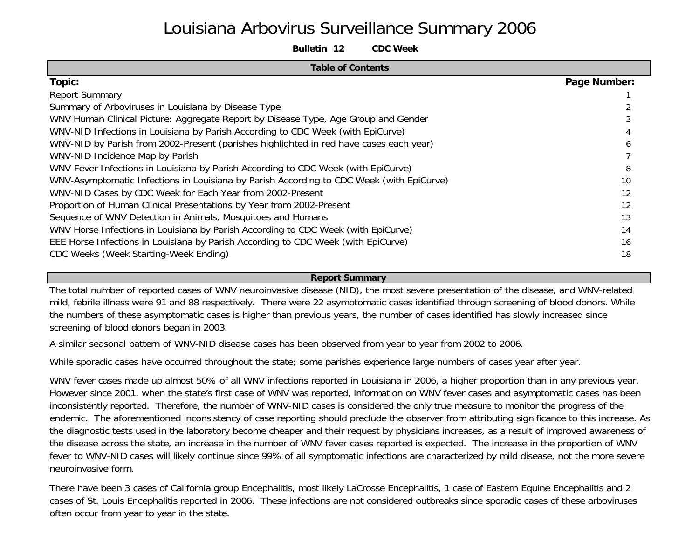# Louisiana Arbovirus Surveillance Summary 2006

**Bulletin 12 CDC Week**

| <b>Table of Contents</b>                                                                 |              |
|------------------------------------------------------------------------------------------|--------------|
| Topic:                                                                                   | Page Number: |
| <b>Report Summary</b>                                                                    |              |
| Summary of Arboviruses in Louisiana by Disease Type                                      |              |
| WNV Human Clinical Picture: Aggregate Report by Disease Type, Age Group and Gender       |              |
| WNV-NID Infections in Louisiana by Parish According to CDC Week (with EpiCurve)          |              |
| WNV-NID by Parish from 2002-Present (parishes highlighted in red have cases each year)   |              |
| WNV-NID Incidence Map by Parish                                                          |              |
| WNV-Fever Infections in Louisiana by Parish According to CDC Week (with EpiCurve)        | 8            |
| WNV-Asymptomatic Infections in Louisiana by Parish According to CDC Week (with EpiCurve) | 10           |
| WNV-NID Cases by CDC Week for Each Year from 2002-Present                                | 12           |
| Proportion of Human Clinical Presentations by Year from 2002-Present                     | 12           |
| Sequence of WNV Detection in Animals, Mosquitoes and Humans                              | 13           |
| WNV Horse Infections in Louisiana by Parish According to CDC Week (with EpiCurve)        | 14           |
| EEE Horse Infections in Louisiana by Parish According to CDC Week (with EpiCurve)        | 16           |
| CDC Weeks (Week Starting-Week Ending)                                                    | 18           |

**Report Summary** 

The total number of reported cases of WNV neuroinvasive disease (NID), the most severe presentation of the disease, and WNV-related mild, febrile illness were 91 and 88 respectively. There were 22 asymptomatic cases identified through screening of blood donors. While the numbers of these asymptomatic cases is higher than previous years, the number of cases identified has slowly increased since screening of blood donors began in 2003.

A similar seasonal pattern of WNV-NID disease cases has been observed from year to year from 2002 to 2006.

While sporadic cases have occurred throughout the state; some parishes experience large numbers of cases year after year.

WNV fever cases made up almost 50% of all WNV infections reported in Louisiana in 2006, a higher proportion than in any previous year. However since 2001, when the state's first case of WNV was reported, information on WNV fever cases and asymptomatic cases has been inconsistently reported. Therefore, the number of WNV-NID cases is considered the only true measure to monitor the progress of the endemic. The aforementioned inconsistency of case reporting should preclude the observer from attributing significance to this increase. As the diagnostic tests used in the laboratory become cheaper and their request by physicians increases, as a result of improved awareness of the disease across the state, an increase in the number of WNV fever cases reported is expected. The increase in the proportion of WNV fever to WNV-NID cases will likely continue since 99% of all symptomatic infections are characterized by mild disease, not the more severe neuroinvasive form.

There have been 3 cases of California group Encephalitis, most likely LaCrosse Encephalitis, 1 case of Eastern Equine Encephalitis and 2 cases of St. Louis Encephalitis reported in 2006. These infections are not considered outbreaks since sporadic cases of these arboviruses often occur from year to year in the state.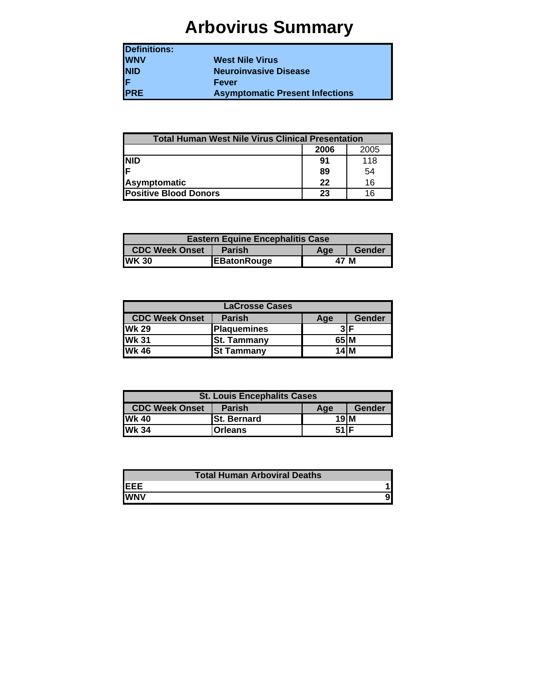# **Arbovirus Summary**

| <b>Definitions:</b> |                                        |
|---------------------|----------------------------------------|
| <b>WNV</b>          | <b>West Nile Virus</b>                 |
| NID<br>F            | <b>Neuroinvasive Disease</b>           |
|                     | Fever                                  |
| <b>PRE</b>          | <b>Asymptomatic Present Infections</b> |

| <b>Total Human West Nile Virus Clinical Presentation</b> |      |      |
|----------------------------------------------------------|------|------|
|                                                          | 2006 | 2005 |
| <b>NID</b>                                               | 91   | 118  |
| lF                                                       | 89   | 54   |
| Asymptomatic                                             | 22   | 16   |
| <b>Positive Blood Donors</b>                             | 23   | 16   |

| <b>Eastern Equine Encephalitis Case</b> |                    |      |        |  |  |  |  |  |  |  |  |  |  |  |
|-----------------------------------------|--------------------|------|--------|--|--|--|--|--|--|--|--|--|--|--|
| CDC Week Onset                          | <b>Parish</b>      | Age  | Gender |  |  |  |  |  |  |  |  |  |  |  |
| <b>WK30</b>                             | <b>EBatonRouge</b> | 47 M |        |  |  |  |  |  |  |  |  |  |  |  |

|                       | <b>LaCrosse Cases</b> |      |               |  |  |  |  |  |  |  |  |  |  |  |  |
|-----------------------|-----------------------|------|---------------|--|--|--|--|--|--|--|--|--|--|--|--|
| <b>CDC Week Onset</b> | <b>Parish</b>         | Age  | <b>Gender</b> |  |  |  |  |  |  |  |  |  |  |  |  |
| <b>IWk 29</b>         | <b>Plaquemines</b>    |      |               |  |  |  |  |  |  |  |  |  |  |  |  |
| <b>Wk 31</b>          | <b>St. Tammany</b>    | 65 M |               |  |  |  |  |  |  |  |  |  |  |  |  |
| <b>Wk 46</b>          | <b>St Tammany</b>     | 14 M |               |  |  |  |  |  |  |  |  |  |  |  |  |

| <b>St. Louis Encephalits Cases</b> |                    |       |        |  |  |  |  |  |  |  |  |  |  |  |
|------------------------------------|--------------------|-------|--------|--|--|--|--|--|--|--|--|--|--|--|
| <b>CDC Week Onset</b>              | <b>Parish</b>      | Age   | Gender |  |  |  |  |  |  |  |  |  |  |  |
| <b>Wk 40</b>                       | <b>St. Bernard</b> | 19M   |        |  |  |  |  |  |  |  |  |  |  |  |
| <b>Wk 34</b>                       | <b>Orleans</b>     | 51 IF |        |  |  |  |  |  |  |  |  |  |  |  |

|            | <b>Total Human Arboviral Deaths</b> |
|------------|-------------------------------------|
| IEEE       |                                     |
| <b>WNV</b> |                                     |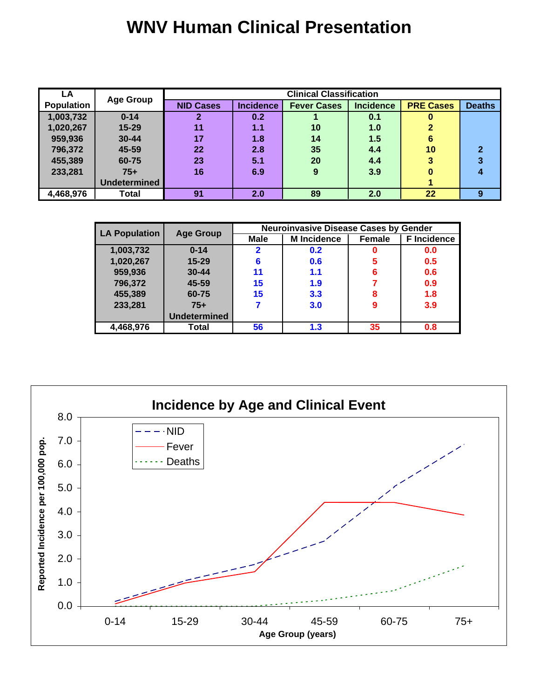# **WNV Human Clinical Presentation**

| LA                |                  |                  |           | <b>Clinical Classification</b> |                  |                  |               |
|-------------------|------------------|------------------|-----------|--------------------------------|------------------|------------------|---------------|
| <b>Population</b> | <b>Age Group</b> | <b>NID Cases</b> | Incidence | <b>Fever Cases</b>             | <b>Incidence</b> | <b>PRE Cases</b> | <b>Deaths</b> |
| 1,003,732         | $0 - 14$         |                  | 0.2       |                                | 0.1              | U                |               |
| 1,020,267         | $15 - 29$        | 11               | 1.1       | 10                             | 1.0              | 2                |               |
| 959,936           | $30 - 44$        | 17               | 1.8       | 14                             | 1.5              | 6                |               |
| 796,372           | 45-59            | 22               | 2.8       | 35                             | 4.4              | 10               | $\mathbf 2$   |
| 455,389           | 60-75            | 23               | 5.1       | <b>20</b>                      | 4.4              | 3                | 3             |
| 233,281           | $75+$            | 16               | 6.9       | 9                              | 3.9              | o                | 4             |
|                   | Undetermined     |                  |           |                                |                  |                  |               |
| 4,468,976         | Total            | 91               | 2.0       | 89                             | 2.0              | 22               | 9             |

| <b>LA Population</b> | <b>Age Group</b>    |              | <b>Neuroinvasive Disease Cases by Gender</b> |        |                    |
|----------------------|---------------------|--------------|----------------------------------------------|--------|--------------------|
|                      |                     | Male         | <b>M</b> Incidence                           | Female | <b>F</b> Incidence |
| 1,003,732            | $0 - 14$            | $\mathbf{2}$ | 0.2                                          | 0      | 0.0                |
| 1,020,267            | 15-29               | 6            | 0.6                                          | 5      | 0.5                |
| 959,936              | $30 - 44$           | 11           | 1.1                                          | 6      | 0.6                |
| 796,372              | 45-59               | 15           | 1.9                                          | 7      | 0.9                |
| 455,389              | 60-75               | 15           | 3.3                                          | 8      | 1.8                |
| 233,281              | $75+$               |              | 3.0                                          | 9      | 3.9                |
|                      | <b>Undetermined</b> |              |                                              |        |                    |
| 4,468,976            | Total               | 56           | 1.3                                          | 35     | 0.8                |

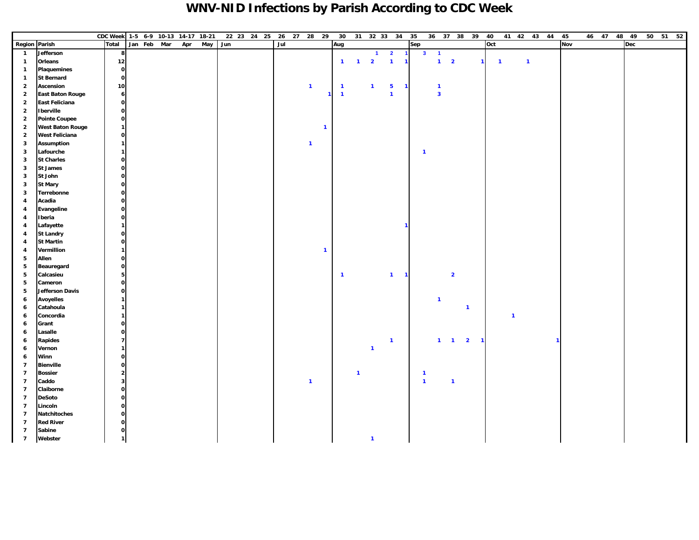### **WNV-NID Infections by Parish According to CDC Week**

|                         |                         | CDC Week 1-5 6-9 10-13 14-17 18-21 |                         |             |     |     |     | 22 23 24 25 26 27 28 29 |     |                |              | 30             |                |                | 31 32 33 34             | 35             |                |                | 36 37 38 39             |                | 40                      |                |                | 41 42 43 44 |              | 45         | 46 47 48 49 |     | 50 51 52 |
|-------------------------|-------------------------|------------------------------------|-------------------------|-------------|-----|-----|-----|-------------------------|-----|----------------|--------------|----------------|----------------|----------------|-------------------------|----------------|----------------|----------------|-------------------------|----------------|-------------------------|----------------|----------------|-------------|--------------|------------|-------------|-----|----------|
|                         | <b>Region Parish</b>    | <b>Total</b>                       |                         | Jan Feb Mar | Apr | May | Jun |                         | Jul |                |              | Aug            |                |                |                         |                | Sep            |                |                         |                | Oct                     |                |                |             |              | <b>Nov</b> |             | Dec |          |
| $\overline{\mathbf{1}}$ | Jefferson               |                                    | 8                       |             |     |     |     |                         |     |                |              |                |                | $\mathbf{1}$   | $\overline{\mathbf{2}}$ | $\overline{1}$ | 3 <sup>1</sup> | $\blacksquare$ |                         |                |                         |                |                |             |              |            |             |     |          |
| $\mathbf{1}$            | Orleans                 |                                    | 12                      |             |     |     |     |                         |     |                |              | $\mathbf{1}$   | $\overline{1}$ | $\overline{2}$ | $\overline{1}$          | $\overline{1}$ |                | $1 \quad 2$    |                         | $\mathbf{1}$   | $\overline{\mathbf{1}}$ |                | $\overline{1}$ |             |              |            |             |     |          |
| $\overline{1}$          | <b>Plaquemines</b>      |                                    | $\mathbf{o}$            |             |     |     |     |                         |     |                |              |                |                |                |                         |                |                |                |                         |                |                         |                |                |             |              |            |             |     |          |
| $\overline{1}$          | <b>St Bernard</b>       |                                    | $\mathbf{o}$            |             |     |     |     |                         |     |                |              |                |                |                |                         |                |                |                |                         |                |                         |                |                |             |              |            |             |     |          |
| $\overline{2}$          | Ascension               |                                    | 10                      |             |     |     |     |                         |     | $\overline{1}$ |              | $\overline{1}$ |                | $\mathbf{1}$   | $\overline{\mathbf{5}}$ | $\mathbf{1}$   |                | $\overline{1}$ |                         |                |                         |                |                |             |              |            |             |     |          |
| $\overline{2}$          | <b>East Baton Rouge</b> |                                    | $6\overline{6}$         |             |     |     |     |                         |     |                |              | $\overline{1}$ |                |                | $\overline{1}$          |                |                | $\mathbf{3}$   |                         |                |                         |                |                |             |              |            |             |     |          |
| $\overline{2}$          | East Feliciana          |                                    | $\mathbf{o}$            |             |     |     |     |                         |     |                |              |                |                |                |                         |                |                |                |                         |                |                         |                |                |             |              |            |             |     |          |
| $\overline{2}$          | <b>Iberville</b>        |                                    | $\mathbf{o}$            |             |     |     |     |                         |     |                |              |                |                |                |                         |                |                |                |                         |                |                         |                |                |             |              |            |             |     |          |
| $\overline{2}$          | <b>Pointe Coupee</b>    |                                    | $\mathbf{o}$            |             |     |     |     |                         |     |                |              |                |                |                |                         |                |                |                |                         |                |                         |                |                |             |              |            |             |     |          |
| $\overline{2}$          | <b>West Baton Rouge</b> |                                    | $\mathbf{1}$            |             |     |     |     |                         |     |                | $\mathbf{1}$ |                |                |                |                         |                |                |                |                         |                |                         |                |                |             |              |            |             |     |          |
| $\overline{2}$          | <b>West Feliciana</b>   |                                    | $\mathbf{o}$            |             |     |     |     |                         |     |                |              |                |                |                |                         |                |                |                |                         |                |                         |                |                |             |              |            |             |     |          |
| 3                       | <b>Assumption</b>       |                                    | $\overline{1}$          |             |     |     |     |                         |     | $\overline{1}$ |              |                |                |                |                         |                |                |                |                         |                |                         |                |                |             |              |            |             |     |          |
| 3                       | Lafourche               |                                    | $\overline{1}$          |             |     |     |     |                         |     |                |              |                |                |                |                         |                | $\mathbf{1}$   |                |                         |                |                         |                |                |             |              |            |             |     |          |
| 3                       | <b>St Charles</b>       |                                    | $\mathbf{o}$            |             |     |     |     |                         |     |                |              |                |                |                |                         |                |                |                |                         |                |                         |                |                |             |              |            |             |     |          |
| 3                       | <b>St James</b>         |                                    | $\mathbf{o}$            |             |     |     |     |                         |     |                |              |                |                |                |                         |                |                |                |                         |                |                         |                |                |             |              |            |             |     |          |
| 3                       | St John                 |                                    | $\mathbf{o}$            |             |     |     |     |                         |     |                |              |                |                |                |                         |                |                |                |                         |                |                         |                |                |             |              |            |             |     |          |
| 3                       | <b>St Mary</b>          |                                    | $\mathbf{o}$            |             |     |     |     |                         |     |                |              |                |                |                |                         |                |                |                |                         |                |                         |                |                |             |              |            |             |     |          |
| 3                       | Terrebonne              |                                    | $\mathbf{o}$            |             |     |     |     |                         |     |                |              |                |                |                |                         |                |                |                |                         |                |                         |                |                |             |              |            |             |     |          |
| $\overline{4}$          | Acadia                  |                                    | $\mathbf{o}$            |             |     |     |     |                         |     |                |              |                |                |                |                         |                |                |                |                         |                |                         |                |                |             |              |            |             |     |          |
| $\overline{4}$          | Evangeline              |                                    | $\mathbf{o}$            |             |     |     |     |                         |     |                |              |                |                |                |                         |                |                |                |                         |                |                         |                |                |             |              |            |             |     |          |
| $\overline{4}$          | Iberia                  |                                    | $\mathbf 0$             |             |     |     |     |                         |     |                |              |                |                |                |                         |                |                |                |                         |                |                         |                |                |             |              |            |             |     |          |
| $\overline{4}$          | Lafayette               |                                    | $\mathbf{1}$            |             |     |     |     |                         |     |                |              |                |                |                |                         |                |                |                |                         |                |                         |                |                |             |              |            |             |     |          |
| $\overline{\bf{4}}$     | <b>St Landry</b>        |                                    | $\mathbf{o}$            |             |     |     |     |                         |     |                |              |                |                |                |                         |                |                |                |                         |                |                         |                |                |             |              |            |             |     |          |
| $\overline{\bf{4}}$     | <b>St Martin</b>        |                                    | $\mathbf{o}$            |             |     |     |     |                         |     |                |              |                |                |                |                         |                |                |                |                         |                |                         |                |                |             |              |            |             |     |          |
| 4                       | Vermillion              |                                    | $\mathbf{1}$            |             |     |     |     |                         |     |                | $\mathbf{1}$ |                |                |                |                         |                |                |                |                         |                |                         |                |                |             |              |            |             |     |          |
| 5                       | Allen                   |                                    | $\mathbf{o}$            |             |     |     |     |                         |     |                |              |                |                |                |                         |                |                |                |                         |                |                         |                |                |             |              |            |             |     |          |
| 5                       | Beauregard              |                                    | $\mathbf{o}$            |             |     |     |     |                         |     |                |              |                |                |                |                         |                |                |                |                         |                |                         |                |                |             |              |            |             |     |          |
| 5                       | Calcasieu               |                                    | 5                       |             |     |     |     |                         |     |                |              | $\overline{1}$ |                |                | $\overline{1}$          | -1             |                |                | $\overline{\mathbf{2}}$ |                |                         |                |                |             |              |            |             |     |          |
| 5                       | Cameron                 |                                    | $\mathbf 0$             |             |     |     |     |                         |     |                |              |                |                |                |                         |                |                |                |                         |                |                         |                |                |             |              |            |             |     |          |
| 5                       | Jefferson Davis         |                                    | $\mathbf 0$             |             |     |     |     |                         |     |                |              |                |                |                |                         |                |                |                |                         |                |                         |                |                |             |              |            |             |     |          |
| 6                       | <b>Avoyelles</b>        |                                    | $\mathbf{1}$            |             |     |     |     |                         |     |                |              |                |                |                |                         |                |                | $\mathbf{1}$   |                         |                |                         |                |                |             |              |            |             |     |          |
| 6                       | Catahoula               |                                    | $\mathbf{1}$            |             |     |     |     |                         |     |                |              |                |                |                |                         |                |                |                |                         | $\overline{1}$ |                         |                |                |             |              |            |             |     |          |
| 6                       | Concordia               |                                    | 1                       |             |     |     |     |                         |     |                |              |                |                |                |                         |                |                |                |                         |                |                         | $\overline{1}$ |                |             |              |            |             |     |          |
| 6                       | Grant                   |                                    | $\mathbf 0$             |             |     |     |     |                         |     |                |              |                |                |                |                         |                |                |                |                         |                |                         |                |                |             |              |            |             |     |          |
| 6                       | Lasalle                 |                                    | $\mathbf 0$             |             |     |     |     |                         |     |                |              |                |                |                |                         |                |                |                |                         |                |                         |                |                |             |              |            |             |     |          |
| 6                       | <b>Rapides</b>          |                                    | $\overline{7}$          |             |     |     |     |                         |     |                |              |                |                |                | $\overline{1}$          |                |                | $\mathbf{1}$   | $\blacksquare$          | $\overline{2}$ |                         |                |                |             | $\mathbf{1}$ |            |             |     |          |
| 6                       | Vernon                  |                                    | $\mathbf{1}$            |             |     |     |     |                         |     |                |              |                |                | $\mathbf{1}$   |                         |                |                |                |                         |                |                         |                |                |             |              |            |             |     |          |
| 6                       | Winn                    |                                    | $\mathbf 0$             |             |     |     |     |                         |     |                |              |                |                |                |                         |                |                |                |                         |                |                         |                |                |             |              |            |             |     |          |
| $\overline{7}$          | <b>Bienville</b>        |                                    | $\mathbf 0$             |             |     |     |     |                         |     |                |              |                |                |                |                         |                |                |                |                         |                |                         |                |                |             |              |            |             |     |          |
| $\overline{7}$          | <b>Bossier</b>          |                                    | $\overline{2}$          |             |     |     |     |                         |     |                |              |                | $\mathbf{1}$   |                |                         |                | $\mathbf{1}$   |                |                         |                |                         |                |                |             |              |            |             |     |          |
| $\overline{7}$          | Caddo                   |                                    | $\overline{\mathbf{3}}$ |             |     |     |     |                         |     | $\overline{1}$ |              |                |                |                |                         |                | $\mathbf{1}$   |                | $\mathbf{1}$            |                |                         |                |                |             |              |            |             |     |          |
| $\overline{7}$          | Claiborne               |                                    | $\mathbf 0$             |             |     |     |     |                         |     |                |              |                |                |                |                         |                |                |                |                         |                |                         |                |                |             |              |            |             |     |          |
| $\overline{7}$          | <b>DeSoto</b>           |                                    | $\mathbf 0$             |             |     |     |     |                         |     |                |              |                |                |                |                         |                |                |                |                         |                |                         |                |                |             |              |            |             |     |          |
| $\overline{7}$          | Lincoln                 |                                    | $\mathbf 0$             |             |     |     |     |                         |     |                |              |                |                |                |                         |                |                |                |                         |                |                         |                |                |             |              |            |             |     |          |
| $\overline{7}$          | Natchitoches            |                                    | $\mathbf 0$             |             |     |     |     |                         |     |                |              |                |                |                |                         |                |                |                |                         |                |                         |                |                |             |              |            |             |     |          |
| $\overline{7}$          | <b>Red River</b>        |                                    | $\mathbf 0$             |             |     |     |     |                         |     |                |              |                |                |                |                         |                |                |                |                         |                |                         |                |                |             |              |            |             |     |          |
| $\overline{7}$          | Sabine                  |                                    | $\mathbf{o}$            |             |     |     |     |                         |     |                |              |                |                |                |                         |                |                |                |                         |                |                         |                |                |             |              |            |             |     |          |
| $\overline{7}$          | Webster                 |                                    | $\mathbf{1}$            |             |     |     |     |                         |     |                |              |                |                | $\mathbf{1}$   |                         |                |                |                |                         |                |                         |                |                |             |              |            |             |     |          |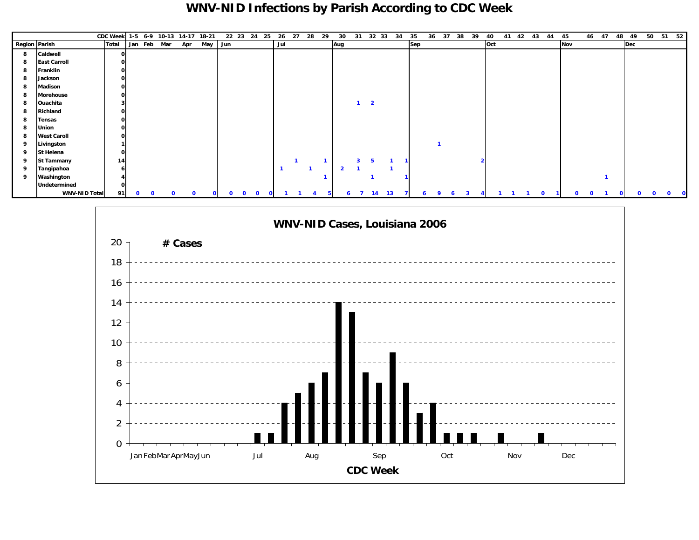### **WNV-NID Infections by Parish According to CDC Week**

|               |                      | CDC Week 1-5 6-9 10-13 14-17 18-21 |  |             |     |              |              | 22 23 24     | 25 | 26           | 27 | 28 | 29 | 30                      | 31           | 32 33                   | 34 | 35       | 37<br>36 | 38        | 39 | 40  | 41 | 42 | 43 | 44 | 45  | 46 47 | 48 | 49  | 50 | 51 52 |
|---------------|----------------------|------------------------------------|--|-------------|-----|--------------|--------------|--------------|----|--------------|----|----|----|-------------------------|--------------|-------------------------|----|----------|----------|-----------|----|-----|----|----|----|----|-----|-------|----|-----|----|-------|
| Region Parish |                      | <b>Total</b>                       |  | Jan Feb Mar | Apr | May Jun      |              |              |    | Jul          |    |    |    | Aug                     |              |                         |    | Sep      |          |           |    | Oct |    |    |    |    | Nov |       |    | Dec |    |       |
| 8             | Caldwell             | 0                                  |  |             |     |              |              |              |    |              |    |    |    |                         |              |                         |    |          |          |           |    |     |    |    |    |    |     |       |    |     |    |       |
| 8             | <b>East Carroll</b>  | $\mathbf{o}$                       |  |             |     |              |              |              |    |              |    |    |    |                         |              |                         |    |          |          |           |    |     |    |    |    |    |     |       |    |     |    |       |
| 8             | Franklin             | $\mathbf{o}$                       |  |             |     |              |              |              |    |              |    |    |    |                         |              |                         |    |          |          |           |    |     |    |    |    |    |     |       |    |     |    |       |
| 8             | Jackson              | $\mathbf{o}$                       |  |             |     |              |              |              |    |              |    |    |    |                         |              |                         |    |          |          |           |    |     |    |    |    |    |     |       |    |     |    |       |
| 8             | Madison              | $\mathbf{o}$                       |  |             |     |              |              |              |    |              |    |    |    |                         |              |                         |    |          |          |           |    |     |    |    |    |    |     |       |    |     |    |       |
| 8             | Morehouse            | $\mathbf{o}$                       |  |             |     |              |              |              |    |              |    |    |    |                         |              |                         |    |          |          |           |    |     |    |    |    |    |     |       |    |     |    |       |
| 8             | Ouachita             | 3                                  |  |             |     |              |              |              |    |              |    |    |    |                         | $\mathbf{1}$ | $\overline{\mathbf{2}}$ |    |          |          |           |    |     |    |    |    |    |     |       |    |     |    |       |
| 8             | Richland             | $\mathbf 0$                        |  |             |     |              |              |              |    |              |    |    |    |                         |              |                         |    |          |          |           |    |     |    |    |    |    |     |       |    |     |    |       |
| 8             | <b>Tensas</b>        | $\mathbf 0$                        |  |             |     |              |              |              |    |              |    |    |    |                         |              |                         |    |          |          |           |    |     |    |    |    |    |     |       |    |     |    |       |
| 8             | Union                | $\mathbf{o}$                       |  |             |     |              |              |              |    |              |    |    |    |                         |              |                         |    |          |          |           |    |     |    |    |    |    |     |       |    |     |    |       |
| 8             | <b>West Caroll</b>   | $\mathbf 0$                        |  |             |     |              |              |              |    |              |    |    |    |                         |              |                         |    |          |          |           |    |     |    |    |    |    |     |       |    |     |    |       |
| 9             | Livingston           |                                    |  |             |     |              |              |              |    |              |    |    |    |                         |              |                         |    |          |          |           |    |     |    |    |    |    |     |       |    |     |    |       |
| 9             | St Helena            | $\mathbf{o}$                       |  |             |     |              |              |              |    |              |    |    |    |                         |              |                         |    |          |          |           |    |     |    |    |    |    |     |       |    |     |    |       |
| 9             | <b>St Tammany</b>    | 14                                 |  |             |     |              |              |              |    |              |    |    |    |                         | 3            |                         |    |          |          |           |    |     |    |    |    |    |     |       |    |     |    |       |
| 9             | Tangipahoa           | 6                                  |  |             |     |              |              |              |    | $\mathbf{1}$ |    |    |    | $\overline{\mathbf{2}}$ |              |                         |    |          |          |           |    |     |    |    |    |    |     |       |    |     |    |       |
| 9             | Washington           |                                    |  |             |     |              |              |              |    |              |    |    |    |                         |              |                         |    |          |          |           |    |     |    |    |    |    |     |       |    |     |    |       |
|               | Undetermined         | $\Omega$                           |  |             |     |              |              |              |    |              |    |    |    |                         |              |                         |    |          |          |           |    |     |    |    |    |    |     |       |    |     |    |       |
|               | <b>WNV-NID Total</b> | 91                                 |  | n           | 0   | $\mathbf{O}$ | $\mathbf{0}$ | $\mathbf{o}$ |    |              |    |    | 5  | 6                       |              | 14                      | 13 | <b>b</b> | 9        | $\bullet$ |    |     |    |    |    |    | n   |       |    |     |    | 0     |

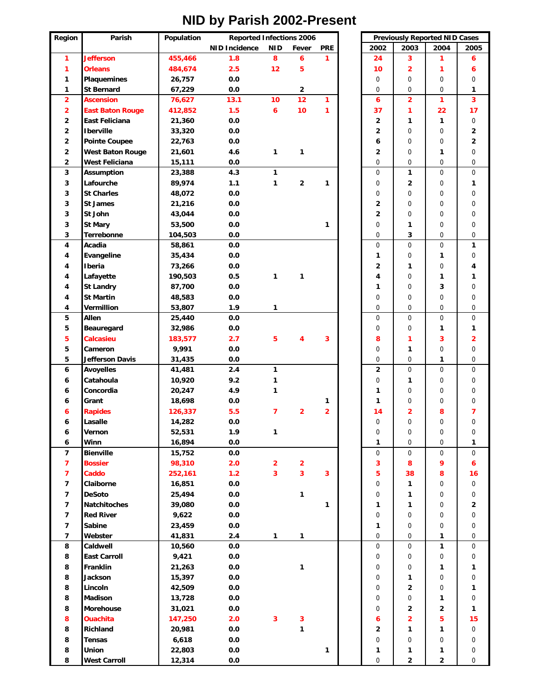#### Region **Parish Population NID Incidence NID Fever PRE 2002 2003 2004 2005 1 Jefferson 455,466 1.8 8 6 1 24 3 1 6 1 Orleans 484,674 2.5 12 5 10 2 1 6 1 Plaquemines 1 26,757 0.0** 0.0 1 0 0 0 0 0 0 **1 St Bernard 67,229 0.0 2** 000 **1** 2 Ascension | 76,627 13.1 10 12 1 | 6 | 2 | 1 | 3 **2 East Baton Rouge 412,852 1.5 6 10 1 37 1 22 17** 2 East Feliciana 21,360 0.0 2 2 1 1 0 **2 Iberville 33,320 0.0 2** 0 0 **2 2** Pointe Coupee 22,763 0.0 **1** 6 0 0 2 **2 West Baton Rouge 21,601 4.6 1 1 2** 0 **1** 0 **2 West Feliciana 15,111 0.0** 0000 **3 Assumption 23,388 4.3 1** 0 **1** 0 0 **3 Lafourche 89,974 1.1 1 2 1** 0 **2** 0 **1 3 St Charles | 48,072 0.0** | | 0 | 0 | 0 | 0 | 0 **3 St James 21,216 0.0 2000 2000 21 0000 21 0000 21 0000 21 0000 21 000 21 000 21 000 21 000 21 000 21 000 21 00 3 St John 43,044 0.0 2** 000 **3 St Mary 53,500 0.0 1** 0 **1** 0 0 **3 Terrebonne 104,503 0.0** 0 **3** 0 0 **4 Acadia 58,861 0.0** 000 **1 4 Evangeline 35,434 0.0 1** 0 **1** 0 **4 Iberia 73,266 0.0 2 1** 0 **4 4 Lafayette 190,503 0.5 1 1 4** 0 **1 1 4 St Landry 87,700 0.0 1** 0 **3** 0 **4 St Martin 48,583 0.0** 0000 **4 V**ermillion | 53,807 1.9 1 | | | | 0 | 0 | 0 | 0 **5 Allen | 25,440 0.0** | 0 | 0 | 0 | 0 **5 Beauregard 32,986 0.0** 0 0 **1 1 5 Calcasieu 183,577 2.7 5 4 3 8132 5 Cameron 9,991 0.0** 0 **1** 0 0 **5 Jefferson Davis 31,435 0.0** 0 0 **1** 0 **6 Avoyelles 41,481 2.4 1 2** 000 **6 Catahoula 10,920 9.2 1** 0 **1** 0 0 **6 Concordia 20,247 4.9 1 1** 000 **6 Grant 18,698 0.0 1 1 1** 0 0 0 **6 Rapides 126,337 5.5 7 2 2 14 2 8 7 6 Lasalle 14,282 0.0** 0000 **6 Vernon 52,531 1.9 1** 0000 **6 Winn 16,894 0.0 1** 0 0 **1 7 Bienville 15,752 0.0** 0000 **7 Bossier 98,310 2.0 2 2 3896 7 Caddo 252,161 1.2 3 3 3 5 38 8 16 7 Claiborne 16,851 0.0** 0 **1** 0 0 **7 DeSoto 25,494 0.0 1** 0 **1** 0 0 **7 Natchitoches 39,080 0.0 1 1 1** 0 **2 7 Red River 9,622 0.0** 0000 **7 S**abine | 23,459 0.0 | 1 | 0 | 0 | 0 **7 Webster 41,831 2.4 1 1** 0 0 **1** 0 **8 Caldwell 10,560 0.0** 0 0 **1** 0 **8 East Carroll 9,421 0.0** 0000 **8 Franklin 21,263 0.0 1** 0 0 **1 1 8 Jackson 15,397 0.0** 0 **1** 0 0 **8 Lincoln 42,509 0.0** 0 **2** 0 **1 8 Madison | 13,728 0.0** | 0 | 0 | 1 | 0 **8 Morehouse 31,021 0.0** 0 **221 8 Ouachita 147,250 2.0 3 3 6 2 5 15 8 Richland 20,981 0.0 1 2 1 1** 0 **8 Tensas 6,618 0.0** 0000 **8 Union 22,803 0.0 1 1 1 1** 0 **8** West Carroll  $\begin{array}{ccc} 12,314 & 0.0 \\ 12,314 & 0.0 \end{array}$  0 0 2 2 0 **Reported Infections 2006 Previously Reported NID Cases**

#### **NID by Parish 2002-Present**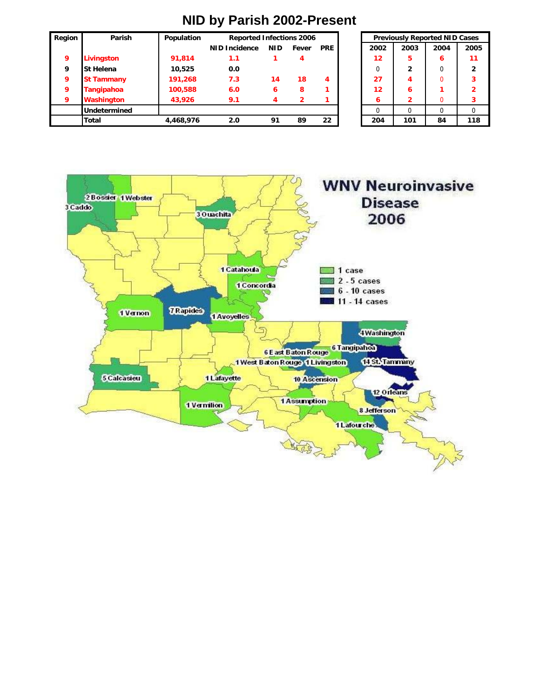| Region | Parish              | Population | <b>Reported Infections 2006</b> |      |              |            | <b>Previously Reported NID Cases</b> |      |      |      |
|--------|---------------------|------------|---------------------------------|------|--------------|------------|--------------------------------------|------|------|------|
|        |                     |            | <b>NID Incidence</b>            | NID. | Fever        | <b>PRE</b> | 2002                                 | 2003 | 2004 | 2005 |
| 9      | <b>Livingston</b>   | 91,814     | 1.1                             |      | 4            |            | 12                                   | 5    | 6    | 11   |
| 9      | <b>St Helena</b>    | 10,525     | 0.0                             |      |              |            |                                      | 2    |      | 2    |
| 9      | <b>St Tammany</b>   | 191,268    | 7.3                             | 14   | 18           | 4          | 27                                   | 4    | 0    | 3    |
| 9      | <b>Tangipahoa</b>   | 100,588    | 6.0                             | 6    | 8            |            | 12                                   | 6    |      | 2    |
| 9      | Washington          | 43,926     | 9.1                             |      | $\mathbf{z}$ |            | 6                                    | 2    | 0    |      |
|        | <b>Undetermined</b> |            |                                 |      |              |            |                                      | 0    |      |      |
|        | Total               | 4,468,976  | 2.0                             | 91   | 89           | 22         | 204                                  | 101  | 84   | 118  |

| <b>Reported Infections 2006</b> |            |       |            |          | <b>Previously Reported NID Cases</b> |      |                |
|---------------------------------|------------|-------|------------|----------|--------------------------------------|------|----------------|
| ncidence                        | <b>NID</b> | Fever | <b>PRE</b> | 2002     | 2003                                 | 2004 | 2005           |
| 1.1                             |            | 4     |            | 12       | 5                                    | 6    | 11             |
| 0.0                             |            |       |            | $\Omega$ | $\mathbf{2}$                         |      | $\overline{2}$ |
| 7.3                             | 14         | 18    | 4          | 27       |                                      |      | 3              |
| 6.0                             | 6          | 8     |            | 12       | 6                                    |      | $\overline{2}$ |
| 9.1                             |            |       |            | 6        | 2                                    |      | 3              |
|                                 |            |       |            |          |                                      |      |                |
| 2.0                             | 91         | 89    | 22         | 204      | 101                                  | 84   | 118            |



### **NID by Parish 2002-Present**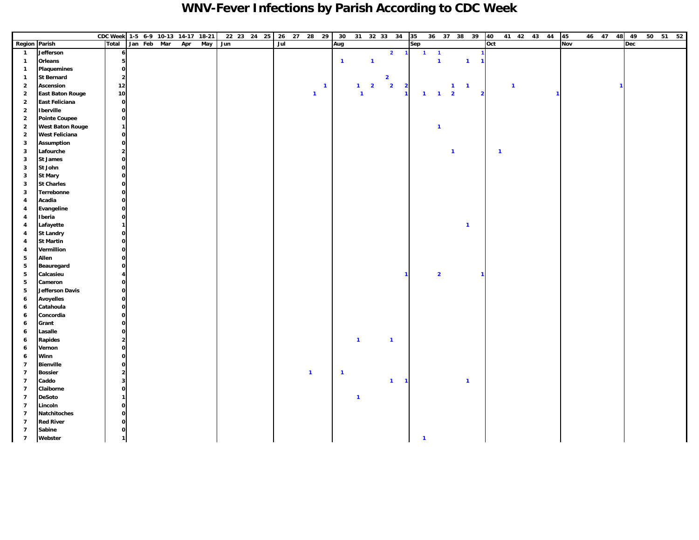### **WNV-Fever Infections by Parish According to CDC Week**

|                                  |                         | CDC Week 1-5 6-9 10-13 14-17 18-21 |                                               |             |     |     |     | 22 23 24 25 |     | 26 27 28 29 |                         |              | 30             |              |                         | 31 32 33 34             |                         | 35  |                                  | 36 37 38 39             |                |                         | 40                      |                | 41 42 43 44 |              | 45  |  | 46 47 48     | 49         |  | 50 51 52 |
|----------------------------------|-------------------------|------------------------------------|-----------------------------------------------|-------------|-----|-----|-----|-------------|-----|-------------|-------------------------|--------------|----------------|--------------|-------------------------|-------------------------|-------------------------|-----|----------------------------------|-------------------------|----------------|-------------------------|-------------------------|----------------|-------------|--------------|-----|--|--------------|------------|--|----------|
| Region Parish                    |                         | <b>Total</b>                       |                                               | Jan Feb Mar | Apr | May | Jun |             | Jul |             |                         |              | Aug            |              |                         |                         |                         | Sep |                                  |                         |                |                         | Oct                     |                |             |              | Nov |  |              | <b>Dec</b> |  |          |
| $\overline{\mathbf{1}}$          | Jefferson               |                                    | $\boldsymbol{6}$                              |             |     |     |     |             |     |             |                         |              |                |              |                         | $\overline{2}$          | $\blacksquare$          |     | $\blacksquare$<br>$\overline{1}$ |                         |                |                         |                         |                |             |              |     |  |              |            |  |          |
| $\mathbf{1}$                     | Orleans                 |                                    | 5                                             |             |     |     |     |             |     |             |                         |              | $\overline{1}$ |              | $\mathbf{1}$            |                         |                         |     | $\mathbf{1}$                     |                         | $\mathbf{1}$   | 1                       |                         |                |             |              |     |  |              |            |  |          |
| $\mathbf{1}$                     | Plaquemines             |                                    | $\mathbf{o}$                                  |             |     |     |     |             |     |             |                         |              |                |              |                         |                         |                         |     |                                  |                         |                |                         |                         |                |             |              |     |  |              |            |  |          |
| $\mathbf{1}$                     | <b>St Bernard</b>       |                                    | $\overline{\mathbf{c}}$                       |             |     |     |     |             |     |             |                         |              |                |              |                         | $\overline{\mathbf{2}}$ |                         |     |                                  |                         |                |                         |                         |                |             |              |     |  |              |            |  |          |
| $\overline{2}$                   | Ascension               | $12$                               |                                               |             |     |     |     |             |     |             |                         | $\mathbf{1}$ |                | $\mathbf{1}$ | $\overline{\mathbf{2}}$ | $\overline{\mathbf{2}}$ | $\overline{\mathbf{2}}$ |     |                                  | $\mathbf{1}$            | $\blacksquare$ |                         |                         | $\overline{1}$ |             |              |     |  | $\mathbf{1}$ |            |  |          |
| $\overline{\mathbf{2}}$          | <b>East Baton Rouge</b> | 10                                 |                                               |             |     |     |     |             |     |             | $\mathbf{1}$            |              |                | $\mathbf{1}$ |                         |                         | $\mathbf{1}$            |     | $\overline{1}$<br>$\mathbf{1}$   | $\overline{\mathbf{2}}$ |                | $\overline{\mathbf{2}}$ |                         |                |             | $\mathbf{1}$ |     |  |              |            |  |          |
| $\overline{\mathbf{2}}$          | <b>East Feliciana</b>   |                                    | $\mathbf{o}$                                  |             |     |     |     |             |     |             |                         |              |                |              |                         |                         |                         |     |                                  |                         |                |                         |                         |                |             |              |     |  |              |            |  |          |
| $\overline{2}$                   | Iberville               |                                    | $\mathbf 0$                                   |             |     |     |     |             |     |             |                         |              |                |              |                         |                         |                         |     |                                  |                         |                |                         |                         |                |             |              |     |  |              |            |  |          |
| $\overline{\mathbf{2}}$          | <b>Pointe Coupee</b>    |                                    | $\mathbf 0$                                   |             |     |     |     |             |     |             |                         |              |                |              |                         |                         |                         |     |                                  |                         |                |                         |                         |                |             |              |     |  |              |            |  |          |
| $\overline{\mathbf{2}}$          | <b>West Baton Rouge</b> |                                    | $\mathbf{1}$                                  |             |     |     |     |             |     |             |                         |              |                |              |                         |                         |                         |     | $\overline{1}$                   |                         |                |                         |                         |                |             |              |     |  |              |            |  |          |
| $\mathbf 2$                      | <b>West Feliciana</b>   |                                    | $\mathbf{o}$                                  |             |     |     |     |             |     |             |                         |              |                |              |                         |                         |                         |     |                                  |                         |                |                         |                         |                |             |              |     |  |              |            |  |          |
| 3                                | <b>Assumption</b>       |                                    | $\mathbf{o}$                                  |             |     |     |     |             |     |             |                         |              |                |              |                         |                         |                         |     |                                  |                         |                |                         |                         |                |             |              |     |  |              |            |  |          |
| $\mathbf 3$                      | Lafourche               |                                    | $\mathbf{2}% \in\mathbb{Z}_{+}^{d}[0,\infty)$ |             |     |     |     |             |     |             |                         |              |                |              |                         |                         |                         |     |                                  | $\mathbf{1}$            |                |                         | $\overline{\mathbf{1}}$ |                |             |              |     |  |              |            |  |          |
| $\mathbf 3$                      | <b>St James</b>         |                                    | $\mathbf 0$                                   |             |     |     |     |             |     |             |                         |              |                |              |                         |                         |                         |     |                                  |                         |                |                         |                         |                |             |              |     |  |              |            |  |          |
| 3                                | St John                 |                                    | $\mathbf{o}$                                  |             |     |     |     |             |     |             |                         |              |                |              |                         |                         |                         |     |                                  |                         |                |                         |                         |                |             |              |     |  |              |            |  |          |
| 3                                | <b>St Mary</b>          |                                    | $\mathbf{o}$                                  |             |     |     |     |             |     |             |                         |              |                |              |                         |                         |                         |     |                                  |                         |                |                         |                         |                |             |              |     |  |              |            |  |          |
| 3                                | <b>St Charles</b>       |                                    | $\mathbf{o}$                                  |             |     |     |     |             |     |             |                         |              |                |              |                         |                         |                         |     |                                  |                         |                |                         |                         |                |             |              |     |  |              |            |  |          |
| 3                                | Terrebonne              |                                    | $\mathbf{o}$                                  |             |     |     |     |             |     |             |                         |              |                |              |                         |                         |                         |     |                                  |                         |                |                         |                         |                |             |              |     |  |              |            |  |          |
| $\overline{\mathbf{4}}$          | Acadia                  |                                    | $\mathbf{o}$                                  |             |     |     |     |             |     |             |                         |              |                |              |                         |                         |                         |     |                                  |                         |                |                         |                         |                |             |              |     |  |              |            |  |          |
| 4                                | Evangeline              |                                    | $\mathbf{o}$                                  |             |     |     |     |             |     |             |                         |              |                |              |                         |                         |                         |     |                                  |                         |                |                         |                         |                |             |              |     |  |              |            |  |          |
| 4                                | Iberia                  |                                    | $\mathbf{o}$                                  |             |     |     |     |             |     |             |                         |              |                |              |                         |                         |                         |     |                                  |                         |                |                         |                         |                |             |              |     |  |              |            |  |          |
| 4                                | Lafayette               |                                    | $\mathbf{1}$                                  |             |     |     |     |             |     |             |                         |              |                |              |                         |                         |                         |     |                                  |                         | $\overline{1}$ |                         |                         |                |             |              |     |  |              |            |  |          |
| 4                                | <b>St Landry</b>        |                                    | $\mathbf{o}$                                  |             |     |     |     |             |     |             |                         |              |                |              |                         |                         |                         |     |                                  |                         |                |                         |                         |                |             |              |     |  |              |            |  |          |
| 4                                | <b>St Martin</b>        |                                    | $\mathbf{o}$                                  |             |     |     |     |             |     |             |                         |              |                |              |                         |                         |                         |     |                                  |                         |                |                         |                         |                |             |              |     |  |              |            |  |          |
| 4                                | Vermillion              |                                    | $\mathbf{o}$                                  |             |     |     |     |             |     |             |                         |              |                |              |                         |                         |                         |     |                                  |                         |                |                         |                         |                |             |              |     |  |              |            |  |          |
| 5                                | Allen                   |                                    | $\mathbf{o}$                                  |             |     |     |     |             |     |             |                         |              |                |              |                         |                         |                         |     |                                  |                         |                |                         |                         |                |             |              |     |  |              |            |  |          |
| 5                                | Beauregard              |                                    | $\mathbf{o}$                                  |             |     |     |     |             |     |             |                         |              |                |              |                         |                         |                         |     |                                  |                         |                |                         |                         |                |             |              |     |  |              |            |  |          |
| $5\phantom{.0}$                  | Calcasieu               |                                    | $\overline{\mathbf{4}}$                       |             |     |     |     |             |     |             |                         |              |                |              |                         |                         |                         |     | $\overline{2}$                   |                         |                |                         |                         |                |             |              |     |  |              |            |  |          |
| 5                                | Cameron                 |                                    | $\mathbf{o}$                                  |             |     |     |     |             |     |             |                         |              |                |              |                         |                         |                         |     |                                  |                         |                |                         |                         |                |             |              |     |  |              |            |  |          |
| 5                                | <b>Jefferson Davis</b>  |                                    | $\mathbf{o}$                                  |             |     |     |     |             |     |             |                         |              |                |              |                         |                         |                         |     |                                  |                         |                |                         |                         |                |             |              |     |  |              |            |  |          |
| 6                                | <b>Avoyelles</b>        |                                    | $\mathbf{o}$                                  |             |     |     |     |             |     |             |                         |              |                |              |                         |                         |                         |     |                                  |                         |                |                         |                         |                |             |              |     |  |              |            |  |          |
| 6                                | Catahoula               |                                    | $\mathbf 0$                                   |             |     |     |     |             |     |             |                         |              |                |              |                         |                         |                         |     |                                  |                         |                |                         |                         |                |             |              |     |  |              |            |  |          |
| 6                                | Concordia               |                                    | $\mathbf{o}$                                  |             |     |     |     |             |     |             |                         |              |                |              |                         |                         |                         |     |                                  |                         |                |                         |                         |                |             |              |     |  |              |            |  |          |
| 6                                | Grant                   |                                    | $\mathbf{o}$                                  |             |     |     |     |             |     |             |                         |              |                |              |                         |                         |                         |     |                                  |                         |                |                         |                         |                |             |              |     |  |              |            |  |          |
| 6                                | Lasalle                 |                                    | $\mathbf{o}$                                  |             |     |     |     |             |     |             |                         |              |                |              |                         |                         |                         |     |                                  |                         |                |                         |                         |                |             |              |     |  |              |            |  |          |
| 6                                | <b>Rapides</b>          |                                    | $\mathbf 2$                                   |             |     |     |     |             |     |             |                         |              |                | $\mathbf{1}$ |                         | $\overline{\mathbf{1}}$ |                         |     |                                  |                         |                |                         |                         |                |             |              |     |  |              |            |  |          |
| 6                                | Vernon                  |                                    | $\mathbf{o}$                                  |             |     |     |     |             |     |             |                         |              |                |              |                         |                         |                         |     |                                  |                         |                |                         |                         |                |             |              |     |  |              |            |  |          |
| 6                                | Winn                    |                                    | $\mathbf 0$                                   |             |     |     |     |             |     |             |                         |              |                |              |                         |                         |                         |     |                                  |                         |                |                         |                         |                |             |              |     |  |              |            |  |          |
| $\overline{7}$                   | <b>Bienville</b>        |                                    | $\mathbf{o}$                                  |             |     |     |     |             |     |             |                         |              |                |              |                         |                         |                         |     |                                  |                         |                |                         |                         |                |             |              |     |  |              |            |  |          |
| $\overline{7}$                   | <b>Bossier</b>          |                                    | $\mathbf 2$                                   |             |     |     |     |             |     |             | $\overline{\mathbf{1}}$ |              | $\overline{1}$ |              |                         |                         |                         |     |                                  |                         |                |                         |                         |                |             |              |     |  |              |            |  |          |
| $\overline{7}$                   | Caddo                   |                                    | $\mathbf{3}$                                  |             |     |     |     |             |     |             |                         |              |                |              |                         | $\overline{1}$          | $\overline{\mathbf{1}}$ |     |                                  |                         | $\overline{1}$ |                         |                         |                |             |              |     |  |              |            |  |          |
| $\overline{7}$                   | Claiborne               |                                    | $\mathbf{o}$                                  |             |     |     |     |             |     |             |                         |              |                |              |                         |                         |                         |     |                                  |                         |                |                         |                         |                |             |              |     |  |              |            |  |          |
| $\overline{7}$                   | <b>DeSoto</b>           |                                    | $\mathbf{1}$                                  |             |     |     |     |             |     |             |                         |              |                | $\mathbf{1}$ |                         |                         |                         |     |                                  |                         |                |                         |                         |                |             |              |     |  |              |            |  |          |
| $\overline{7}$                   | Lincoln                 |                                    | $\mathbf{o}$                                  |             |     |     |     |             |     |             |                         |              |                |              |                         |                         |                         |     |                                  |                         |                |                         |                         |                |             |              |     |  |              |            |  |          |
| $\overline{7}$                   | Natchitoches            |                                    | $\mathbf{o}$                                  |             |     |     |     |             |     |             |                         |              |                |              |                         |                         |                         |     |                                  |                         |                |                         |                         |                |             |              |     |  |              |            |  |          |
| $\overline{7}$                   | <b>Red River</b>        |                                    | $\mathbf 0$                                   |             |     |     |     |             |     |             |                         |              |                |              |                         |                         |                         |     |                                  |                         |                |                         |                         |                |             |              |     |  |              |            |  |          |
| $\overline{7}$<br>$\overline{7}$ | Sabine<br>Webster       |                                    | $\mathbf{o}$<br>$\mathbf{1}$                  |             |     |     |     |             |     |             |                         |              |                |              |                         |                         |                         |     | $\mathbf{1}$                     |                         |                |                         |                         |                |             |              |     |  |              |            |  |          |
|                                  |                         |                                    |                                               |             |     |     |     |             |     |             |                         |              |                |              |                         |                         |                         |     |                                  |                         |                |                         |                         |                |             |              |     |  |              |            |  |          |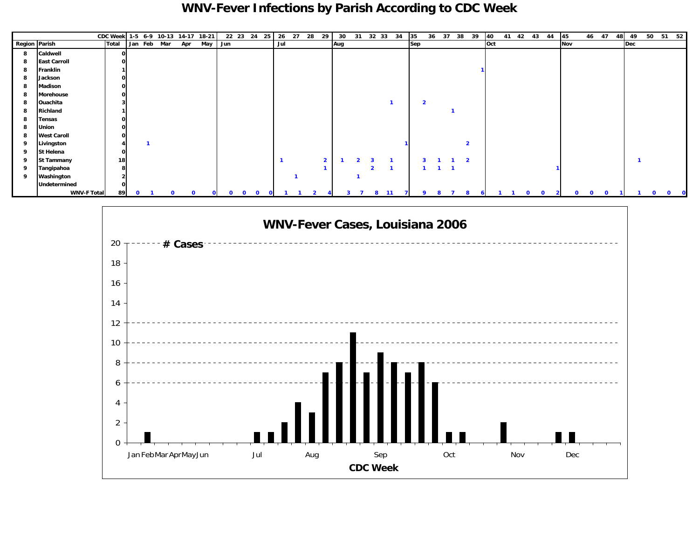### **WNV-Fever Infections by Parish According to CDC Week**

|               |                     | CDC Week 1-5 6-9 10-13 14-17 18-21 |             |             |     |             |              |              |              | 22 23 24 25                  |     | 26 27 28 29 |                | 30  |                     |                | 31 32 33 34 |              | 35                      | 36           | 37 38          |                | 39         | 40  |              | 41 42 43 44  | 45          |             | 46 47        | 48 | 49  |          | 50 51 52          |
|---------------|---------------------|------------------------------------|-------------|-------------|-----|-------------|--------------|--------------|--------------|------------------------------|-----|-------------|----------------|-----|---------------------|----------------|-------------|--------------|-------------------------|--------------|----------------|----------------|------------|-----|--------------|--------------|-------------|-------------|--------------|----|-----|----------|-------------------|
| Region Parish |                     | <b>Total</b>                       |             | Jan Feb Mar | Apr | May         |              | Jun          |              |                              | Jul |             |                | Aug |                     |                |             |              | Sep                     |              |                |                |            | Oct |              |              | Nov         |             |              |    | Dec |          |                   |
| 8             | Caldwell            | 0                                  |             |             |     |             |              |              |              |                              |     |             |                |     |                     |                |             |              |                         |              |                |                |            |     |              |              |             |             |              |    |     |          |                   |
| 8             | <b>East Carroll</b> | 0                                  |             |             |     |             |              |              |              |                              |     |             |                |     |                     |                |             |              |                         |              |                |                |            |     |              |              |             |             |              |    |     |          |                   |
| 8             | Franklin            |                                    |             |             |     |             |              |              |              |                              |     |             |                |     |                     |                |             |              |                         |              |                |                |            |     |              |              |             |             |              |    |     |          |                   |
| 8             | Jackson             | $\mathbf{O}$                       |             |             |     |             |              |              |              |                              |     |             |                |     |                     |                |             |              |                         |              |                |                |            |     |              |              |             |             |              |    |     |          |                   |
| -8            | Madison             | $\mathbf{O}$                       |             |             |     |             |              |              |              |                              |     |             |                |     |                     |                |             |              |                         |              |                |                |            |     |              |              |             |             |              |    |     |          |                   |
| -8            | <b>Morehouse</b>    | $\mathbf{o}$                       |             |             |     |             |              |              |              |                              |     |             |                |     |                     |                |             |              |                         |              |                |                |            |     |              |              |             |             |              |    |     |          |                   |
| -8            | Ouachita            |                                    |             |             |     |             |              |              |              |                              |     |             |                |     |                     |                |             |              | $\overline{\mathbf{2}}$ |              |                |                |            |     |              |              |             |             |              |    |     |          |                   |
| 8             | Richland            |                                    |             |             |     |             |              |              |              |                              |     |             |                |     |                     |                |             |              |                         |              |                |                |            |     |              |              |             |             |              |    |     |          |                   |
| 8             | <b>Tensas</b>       | $\mathbf{O}$                       |             |             |     |             |              |              |              |                              |     |             |                |     |                     |                |             |              |                         |              |                |                |            |     |              |              |             |             |              |    |     |          |                   |
| 8             | <b>Union</b>        | οI                                 |             |             |     |             |              |              |              |                              |     |             |                |     |                     |                |             |              |                         |              |                |                |            |     |              |              |             |             |              |    |     |          |                   |
| 8             | <b>West Caroll</b>  | 0                                  |             |             |     |             |              |              |              |                              |     |             |                |     |                     |                |             |              |                         |              |                |                |            |     |              |              |             |             |              |    |     |          |                   |
| 9             | Livingston          |                                    |             |             |     |             |              |              |              |                              |     |             |                |     |                     |                |             |              |                         |              |                | $\overline{2}$ |            |     |              |              |             |             |              |    |     |          |                   |
| 9             | St Helena           | $\mathbf{O}$                       |             |             |     |             |              |              |              |                              |     |             |                |     |                     |                |             |              |                         |              |                |                |            |     |              |              |             |             |              |    |     |          |                   |
| 9             | <b>St Tammany</b>   | 18                                 |             |             |     |             |              |              |              |                              |     |             | $\overline{2}$ |     |                     |                |             |              |                         |              |                | $\overline{2}$ |            |     |              |              |             |             |              |    |     |          |                   |
| 9             | Tangipahoa          | 8                                  |             |             |     |             |              |              |              |                              |     |             |                |     |                     | $\overline{2}$ |             |              |                         | $\mathbf{I}$ | $\blacksquare$ |                |            |     |              |              |             |             |              |    |     |          |                   |
| - 9           | Washington          |                                    |             |             |     |             |              |              |              |                              |     |             |                |     |                     |                |             |              |                         |              |                |                |            |     |              |              |             |             |              |    |     |          |                   |
|               | Undetermined        | 0                                  |             |             |     |             |              |              |              |                              |     |             |                |     |                     |                |             |              |                         |              |                |                |            |     |              |              |             |             |              |    |     |          |                   |
|               | <b>WNV-F Total</b>  | 89                                 | $\mathbf 0$ | $\Omega$    |     | $\mathbf 0$ | $\mathbf{O}$ | $\mathbf{O}$ | $\mathbf{o}$ | $\mathbf{o}$<br>$\mathbf{O}$ |     |             |                |     | $\overline{7}$<br>3 | 8              | 11          | $\mathbf{7}$ | 9                       |              | 8<br>- 7       | 8              | $\epsilon$ |     | $\mathbf{o}$ | $\mathbf{o}$ | $\mathbf 0$ | $\mathbf 0$ | $\mathbf{0}$ | 11 |     | $\Omega$ | $\mathbf{0}$<br>0 |

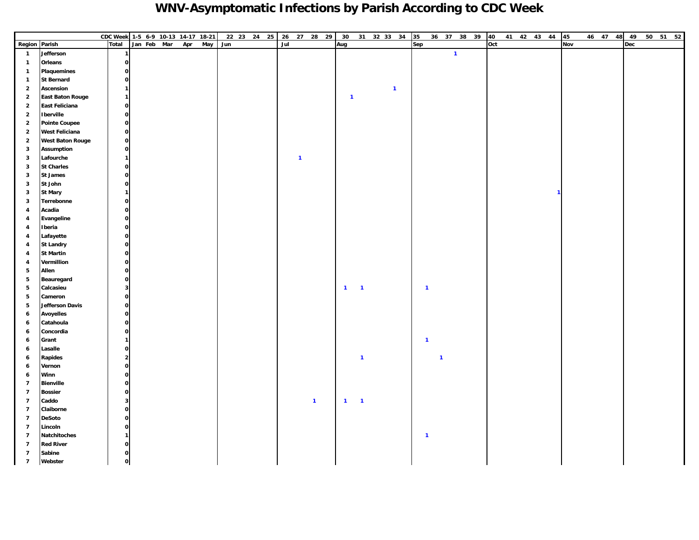### **WNV-Asymptomatic Infections by Parish According to CDC Week**

|                         |                         | CDC Week 1-5 6-9 10-13 14-17 18-21 |             |     |     |     | 22 23 24 25 26 27 28 29 30 31 32 33 34 35 |     |              |                |              |                         |              |     |              |              |              | 36 37 38 39 40 |     |  | 41 42 43 44 45 |            | 46 47 48 49 |     |  | 50 51 52 |
|-------------------------|-------------------------|------------------------------------|-------------|-----|-----|-----|-------------------------------------------|-----|--------------|----------------|--------------|-------------------------|--------------|-----|--------------|--------------|--------------|----------------|-----|--|----------------|------------|-------------|-----|--|----------|
| Region Parish           |                         | Total                              | Jan Feb Mar | Apr | May | Jun |                                           | Jul |              |                | Aug          |                         |              | Sep |              |              |              |                | Oct |  |                | <b>Nov</b> |             | Dec |  |          |
| $\mathbf{1}$            | Jefferson               |                                    |             |     |     |     |                                           |     |              |                |              |                         |              |     |              |              | $\mathbf{1}$ |                |     |  |                |            |             |     |  |          |
| $\mathbf{1}$            | Orleans                 | $\mathbf{o}$                       |             |     |     |     |                                           |     |              |                |              |                         |              |     |              |              |              |                |     |  |                |            |             |     |  |          |
| $\mathbf{1}$            | Plaquemines             | $\mathbf{o}$                       |             |     |     |     |                                           |     |              |                |              |                         |              |     |              |              |              |                |     |  |                |            |             |     |  |          |
| $\mathbf{1}$            | <b>St Bernard</b>       | $\mathbf{o}$                       |             |     |     |     |                                           |     |              |                |              |                         |              |     |              |              |              |                |     |  |                |            |             |     |  |          |
| $\overline{2}$          | Ascension               | 1                                  |             |     |     |     |                                           |     |              |                |              |                         | $\mathbf{1}$ |     |              |              |              |                |     |  |                |            |             |     |  |          |
| $\overline{2}$          | <b>East Baton Rouge</b> | 1                                  |             |     |     |     |                                           |     |              |                | $\mathbf{1}$ |                         |              |     |              |              |              |                |     |  |                |            |             |     |  |          |
| $\overline{2}$          | <b>East Feliciana</b>   | $\mathbf{o}$                       |             |     |     |     |                                           |     |              |                |              |                         |              |     |              |              |              |                |     |  |                |            |             |     |  |          |
| $\overline{2}$          | <b>I</b> berville       | $\mathbf{o}$                       |             |     |     |     |                                           |     |              |                |              |                         |              |     |              |              |              |                |     |  |                |            |             |     |  |          |
| $\overline{2}$          | <b>Pointe Coupee</b>    | $\mathbf{o}$                       |             |     |     |     |                                           |     |              |                |              |                         |              |     |              |              |              |                |     |  |                |            |             |     |  |          |
| $\overline{2}$          | <b>West Feliciana</b>   | $\mathbf{o}$                       |             |     |     |     |                                           |     |              |                |              |                         |              |     |              |              |              |                |     |  |                |            |             |     |  |          |
| $\overline{2}$          | <b>West Baton Rouge</b> | $\mathbf{o}$                       |             |     |     |     |                                           |     |              |                |              |                         |              |     |              |              |              |                |     |  |                |            |             |     |  |          |
| $\mathbf{3}$            | <b>Assumption</b>       | $\mathbf{o}$                       |             |     |     |     |                                           |     |              |                |              |                         |              |     |              |              |              |                |     |  |                |            |             |     |  |          |
| $\mathbf{3}$            | Lafourche               | 1                                  |             |     |     |     |                                           |     | $\mathbf{1}$ |                |              |                         |              |     |              |              |              |                |     |  |                |            |             |     |  |          |
| $\mathbf{3}$            | <b>St Charles</b>       | $\mathbf{o}$                       |             |     |     |     |                                           |     |              |                |              |                         |              |     |              |              |              |                |     |  |                |            |             |     |  |          |
| $\mathbf{3}$            | <b>St James</b>         | $\mathbf{o}$                       |             |     |     |     |                                           |     |              |                |              |                         |              |     |              |              |              |                |     |  |                |            |             |     |  |          |
| $\mathbf{3}$            | St John                 | $\mathbf{o}$                       |             |     |     |     |                                           |     |              |                |              |                         |              |     |              |              |              |                |     |  |                |            |             |     |  |          |
| $\mathbf{3}$            | <b>St Mary</b>          | $\mathbf{1}$                       |             |     |     |     |                                           |     |              |                |              |                         |              |     |              |              |              |                |     |  |                |            |             |     |  |          |
| $\mathbf{3}$            | Terrebonne              | $\mathbf{o}$                       |             |     |     |     |                                           |     |              |                |              |                         |              |     |              |              |              |                |     |  |                |            |             |     |  |          |
| $\overline{4}$          | Acadia                  | $\mathbf{o}$                       |             |     |     |     |                                           |     |              |                |              |                         |              |     |              |              |              |                |     |  |                |            |             |     |  |          |
| $\overline{\mathbf{4}}$ | Evangeline              | $\mathbf{o}$                       |             |     |     |     |                                           |     |              |                |              |                         |              |     |              |              |              |                |     |  |                |            |             |     |  |          |
| 4                       | Iberia                  | $\mathbf{0}$                       |             |     |     |     |                                           |     |              |                |              |                         |              |     |              |              |              |                |     |  |                |            |             |     |  |          |
| $\overline{\mathbf{4}}$ | Lafayette               | $\mathbf{o}$                       |             |     |     |     |                                           |     |              |                |              |                         |              |     |              |              |              |                |     |  |                |            |             |     |  |          |
| $\overline{a}$          | <b>St Landry</b>        | $\mathbf{o}$                       |             |     |     |     |                                           |     |              |                |              |                         |              |     |              |              |              |                |     |  |                |            |             |     |  |          |
| $\overline{a}$          | <b>St Martin</b>        | $\mathbf{o}$                       |             |     |     |     |                                           |     |              |                |              |                         |              |     |              |              |              |                |     |  |                |            |             |     |  |          |
| $\overline{\mathbf{4}}$ | Vermillion              | $\mathbf{o}$                       |             |     |     |     |                                           |     |              |                |              |                         |              |     |              |              |              |                |     |  |                |            |             |     |  |          |
| 5                       | Allen                   | $\mathbf{o}$                       |             |     |     |     |                                           |     |              |                |              |                         |              |     |              |              |              |                |     |  |                |            |             |     |  |          |
| $5\phantom{.0}$         | Beauregard              | $\mathbf{o}$                       |             |     |     |     |                                           |     |              |                |              |                         |              |     |              |              |              |                |     |  |                |            |             |     |  |          |
| 5                       | Calcasieu               | 3 <sup>1</sup>                     |             |     |     |     |                                           |     |              |                | $\mathbf{1}$ | $\overline{\mathbf{1}}$ |              |     | $\mathbf{1}$ |              |              |                |     |  |                |            |             |     |  |          |
| $5\phantom{.0}$         | Cameron                 | $\mathbf{o}$                       |             |     |     |     |                                           |     |              |                |              |                         |              |     |              |              |              |                |     |  |                |            |             |     |  |          |
| 5                       | <b>Jefferson Davis</b>  | $\mathbf{o}$                       |             |     |     |     |                                           |     |              |                |              |                         |              |     |              |              |              |                |     |  |                |            |             |     |  |          |
| 6                       | <b>Avoyelles</b>        | $\mathbf{o}$                       |             |     |     |     |                                           |     |              |                |              |                         |              |     |              |              |              |                |     |  |                |            |             |     |  |          |
| 6                       | Catahoula               | $\mathbf{o}$                       |             |     |     |     |                                           |     |              |                |              |                         |              |     |              |              |              |                |     |  |                |            |             |     |  |          |
| 6                       | Concordia               | $\mathbf{o}$                       |             |     |     |     |                                           |     |              |                |              |                         |              |     |              |              |              |                |     |  |                |            |             |     |  |          |
| 6                       | Grant                   | 1                                  |             |     |     |     |                                           |     |              |                |              |                         |              |     | $\mathbf{1}$ |              |              |                |     |  |                |            |             |     |  |          |
| 6                       | Lasalle                 | $\mathbf{o}$<br>$\mathbf{2}$       |             |     |     |     |                                           |     |              |                |              |                         |              |     |              |              |              |                |     |  |                |            |             |     |  |          |
| 6<br>$\boldsymbol{6}$   | Rapides<br>Vernon       | $\mathbf{o}$                       |             |     |     |     |                                           |     |              |                |              | $\mathbf{1}$            |              |     |              | $\mathbf{1}$ |              |                |     |  |                |            |             |     |  |          |
| 6                       | Winn                    | $\mathbf{o}$                       |             |     |     |     |                                           |     |              |                |              |                         |              |     |              |              |              |                |     |  |                |            |             |     |  |          |
| $\overline{7}$          | <b>Bienville</b>        | $\mathbf{o}$                       |             |     |     |     |                                           |     |              |                |              |                         |              |     |              |              |              |                |     |  |                |            |             |     |  |          |
| $\overline{7}$          | <b>Bossier</b>          | $\mathbf{o}$                       |             |     |     |     |                                           |     |              |                |              |                         |              |     |              |              |              |                |     |  |                |            |             |     |  |          |
| $\overline{7}$          | Caddo                   | 3                                  |             |     |     |     |                                           |     |              | $\overline{1}$ | $1 - 1$      |                         |              |     |              |              |              |                |     |  |                |            |             |     |  |          |
| $\overline{7}$          | Claiborne               | $\mathbf{o}$                       |             |     |     |     |                                           |     |              |                |              |                         |              |     |              |              |              |                |     |  |                |            |             |     |  |          |
| $\overline{7}$          | <b>DeSoto</b>           | $\mathbf{o}$                       |             |     |     |     |                                           |     |              |                |              |                         |              |     |              |              |              |                |     |  |                |            |             |     |  |          |
| $\overline{7}$          | Lincoln                 | $\mathbf{o}$                       |             |     |     |     |                                           |     |              |                |              |                         |              |     |              |              |              |                |     |  |                |            |             |     |  |          |
| $\overline{7}$          | Natchitoches            | 1                                  |             |     |     |     |                                           |     |              |                |              |                         |              |     | $\mathbf{1}$ |              |              |                |     |  |                |            |             |     |  |          |
| $\overline{7}$          | <b>Red River</b>        | $\mathbf{o}$                       |             |     |     |     |                                           |     |              |                |              |                         |              |     |              |              |              |                |     |  |                |            |             |     |  |          |
| $\overline{7}$          | Sabine                  | $\mathbf{o}$                       |             |     |     |     |                                           |     |              |                |              |                         |              |     |              |              |              |                |     |  |                |            |             |     |  |          |
| $\overline{7}$          | Webster                 | $\mathbf{o}$                       |             |     |     |     |                                           |     |              |                |              |                         |              |     |              |              |              |                |     |  |                |            |             |     |  |          |
|                         |                         |                                    |             |     |     |     |                                           |     |              |                |              |                         |              |     |              |              |              |                |     |  |                |            |             |     |  |          |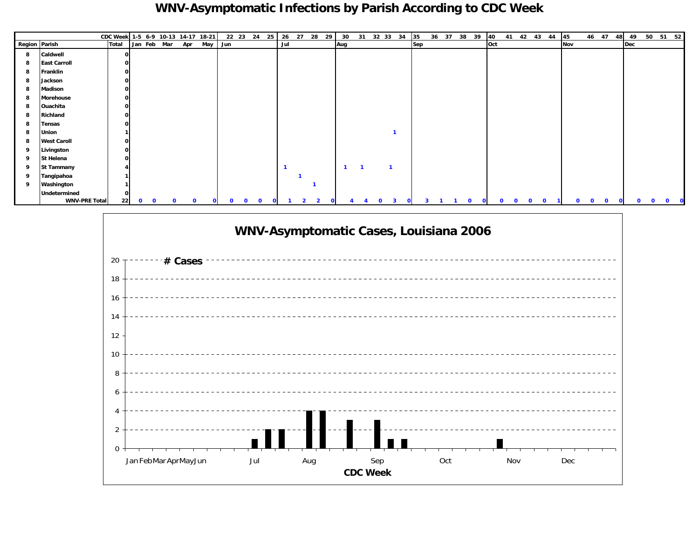### **WNV-Asymptomatic Infections by Parish According to CDC Week**

|               |                      | CDC Week 1-5 6-9 10-13 14-17 18-21 |                             |          |     |             |     | 22 23 24     |          | 25 |     | 26 27 | 28 29 | 30           |             | 31 32 33 34 | 35  | 36 | 37 38 39 | 40  |   |   |   | 41 42 43 44 | 45  |        | 46 47    | 48 | 49  | 50 51 52 |   |  |
|---------------|----------------------|------------------------------------|-----------------------------|----------|-----|-------------|-----|--------------|----------|----|-----|-------|-------|--------------|-------------|-------------|-----|----|----------|-----|---|---|---|-------------|-----|--------|----------|----|-----|----------|---|--|
| Region Parish |                      | <b>Total</b>                       | Jan Feb Mar                 |          | Apr | May         | Jun |              |          |    | Jul |       |       | Aug          |             |             | Sep |    |          | Oct |   |   |   |             | Nov |        |          |    | Dec |          |   |  |
| 8             | Caldwell             |                                    |                             |          |     |             |     |              |          |    |     |       |       |              |             |             |     |    |          |     |   |   |   |             |     |        |          |    |     |          |   |  |
| 8             | <b>East Carroll</b>  |                                    |                             |          |     |             |     |              |          |    |     |       |       |              |             |             |     |    |          |     |   |   |   |             |     |        |          |    |     |          |   |  |
| 8             | Franklin             |                                    |                             |          |     |             |     |              |          |    |     |       |       |              |             |             |     |    |          |     |   |   |   |             |     |        |          |    |     |          |   |  |
| 8             | Jackson              |                                    |                             |          |     |             |     |              |          |    |     |       |       |              |             |             |     |    |          |     |   |   |   |             |     |        |          |    |     |          |   |  |
| 8             | Madison              |                                    |                             |          |     |             |     |              |          |    |     |       |       |              |             |             |     |    |          |     |   |   |   |             |     |        |          |    |     |          |   |  |
| 8             | Morehouse            |                                    |                             |          |     |             |     |              |          |    |     |       |       |              |             |             |     |    |          |     |   |   |   |             |     |        |          |    |     |          |   |  |
| 8             | Ouachita             |                                    |                             |          |     |             |     |              |          |    |     |       |       |              |             |             |     |    |          |     |   |   |   |             |     |        |          |    |     |          |   |  |
| 8             | Richland             |                                    |                             |          |     |             |     |              |          |    |     |       |       |              |             |             |     |    |          |     |   |   |   |             |     |        |          |    |     |          |   |  |
| 8             | <b>Tensas</b>        |                                    |                             |          |     |             |     |              |          |    |     |       |       |              |             |             |     |    |          |     |   |   |   |             |     |        |          |    |     |          |   |  |
| 8             | Union                |                                    |                             |          |     |             |     |              |          |    |     |       |       |              |             |             |     |    |          |     |   |   |   |             |     |        |          |    |     |          |   |  |
| 8             | <b>West Caroll</b>   |                                    |                             |          |     |             |     |              |          |    |     |       |       |              |             |             |     |    |          |     |   |   |   |             |     |        |          |    |     |          |   |  |
| 9             | Livingston           |                                    |                             |          |     |             |     |              |          |    |     |       |       |              |             |             |     |    |          |     |   |   |   |             |     |        |          |    |     |          |   |  |
| 9             | St Helena            |                                    |                             |          |     |             |     |              |          |    |     |       |       |              |             |             |     |    |          |     |   |   |   |             |     |        |          |    |     |          |   |  |
| 9             | <b>St Tammany</b>    |                                    |                             |          |     |             |     |              |          |    |     |       |       | $\mathbf{1}$ |             |             |     |    |          |     |   |   |   |             |     |        |          |    |     |          |   |  |
| 9             | Tangipahoa           |                                    |                             |          |     |             |     |              |          |    |     |       |       |              |             |             |     |    |          |     |   |   |   |             |     |        |          |    |     |          |   |  |
| 9             | Washington           |                                    |                             |          |     |             |     |              |          |    |     |       |       |              |             |             |     |    |          |     |   |   |   |             |     |        |          |    |     |          |   |  |
|               | Undetermined         |                                    |                             |          |     |             |     |              |          |    |     |       |       |              |             |             |     |    |          |     |   |   |   |             |     |        |          |    |     |          |   |  |
|               | <b>WNV-PRE Total</b> | 22                                 | $\mathbf 0$<br>$\mathbf{o}$ | $\Omega$ | 0   | $\mathbf 0$ | 0   | $\mathbf{o}$ | $\Omega$ |    |     |       |       |              | $\mathbf o$ | 3           |     |    | $\Omega$ |     | 0 | 0 | 0 |             |     | o<br>o | $\Omega$ |    |     |          | o |  |

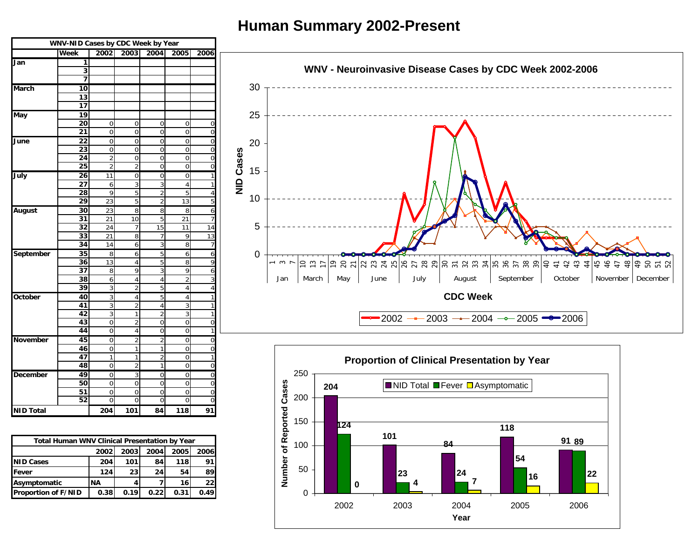### **Human Summary 2002-Present**





9 0 3 0 0 0

0000000

1 0 0 0 0 0

2000000 **204 101 84 118 91**

**49**

**50**

**51**

**52**

**December**

**NID Total**

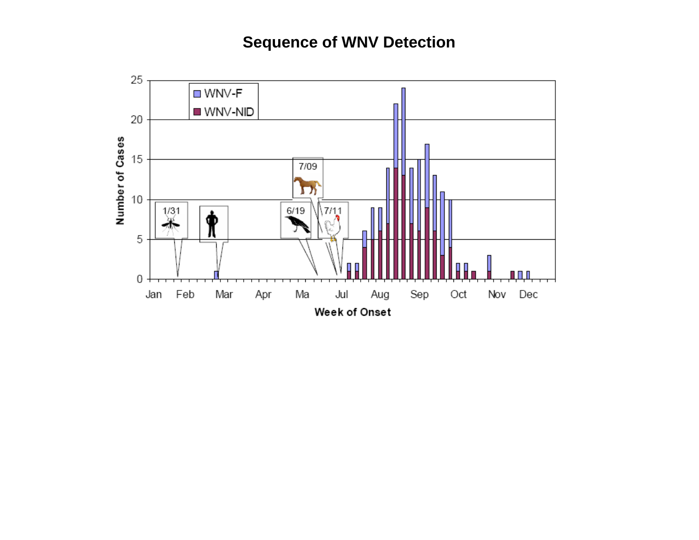## **Sequence of WNV Detection**

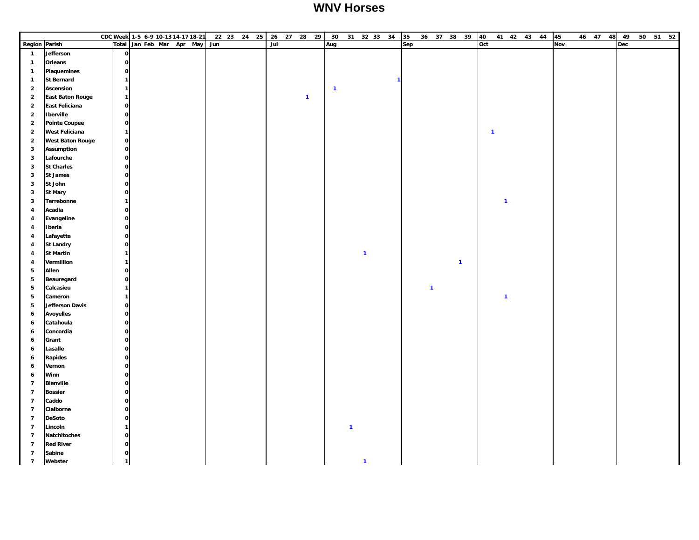#### **WNV Horses**

|                         |                         | CDC Week 1-5 6-9 10-13 14-17 18-21 |  |  |                           |     | 22 23 24 25 |     |  | 26 27 28 29  | 30             |              |              | 31 32 33 34 35 |     | 36 37 38 39             |              | 40           |              |  | 41 42 43 44 | 45  |  | 46 47 48 49 |  | 50 51 52 |
|-------------------------|-------------------------|------------------------------------|--|--|---------------------------|-----|-------------|-----|--|--------------|----------------|--------------|--------------|----------------|-----|-------------------------|--------------|--------------|--------------|--|-------------|-----|--|-------------|--|----------|
| <b>Region Parish</b>    |                         |                                    |  |  | Total Jan Feb Mar Apr May | Jun |             | Jul |  |              | Aug            |              |              |                | Sep |                         |              | Oct          |              |  |             | Nov |  | Dec         |  |          |
| $\mathbf{1}$            | Jefferson               | $\mathbf{o}$                       |  |  |                           |     |             |     |  |              |                |              |              |                |     |                         |              |              |              |  |             |     |  |             |  |          |
| $\mathbf{1}$            | Orleans                 | $\mathbf{o}$                       |  |  |                           |     |             |     |  |              |                |              |              |                |     |                         |              |              |              |  |             |     |  |             |  |          |
| $\mathbf{1}$            | <b>Plaquemines</b>      | $\mathbf{o}$                       |  |  |                           |     |             |     |  |              |                |              |              |                |     |                         |              |              |              |  |             |     |  |             |  |          |
| $\mathbf{1}$            | <b>St Bernard</b>       | $\mathbf{1}$                       |  |  |                           |     |             |     |  |              |                |              |              |                |     |                         |              |              |              |  |             |     |  |             |  |          |
| $\overline{\mathbf{2}}$ | Ascension               | $\mathbf{1}$                       |  |  |                           |     |             |     |  |              | $\overline{1}$ |              |              |                |     |                         |              |              |              |  |             |     |  |             |  |          |
| $\overline{2}$          | <b>East Baton Rouge</b> | $\mathbf{1}$                       |  |  |                           |     |             |     |  | $\mathbf{1}$ |                |              |              |                |     |                         |              |              |              |  |             |     |  |             |  |          |
| $\overline{2}$          | East Feliciana          | $\mathbf 0$                        |  |  |                           |     |             |     |  |              |                |              |              |                |     |                         |              |              |              |  |             |     |  |             |  |          |
| $\overline{2}$          | <b>Iberville</b>        | $\mathbf{o}$                       |  |  |                           |     |             |     |  |              |                |              |              |                |     |                         |              |              |              |  |             |     |  |             |  |          |
| $\overline{2}$          | <b>Pointe Coupee</b>    | $\mathbf{o}$                       |  |  |                           |     |             |     |  |              |                |              |              |                |     |                         |              |              |              |  |             |     |  |             |  |          |
| $\overline{2}$          | <b>West Feliciana</b>   | $\mathbf{1}$                       |  |  |                           |     |             |     |  |              |                |              |              |                |     |                         |              | $\mathbf{1}$ |              |  |             |     |  |             |  |          |
| $\overline{2}$          | <b>West Baton Rouge</b> | $\mathbf 0$                        |  |  |                           |     |             |     |  |              |                |              |              |                |     |                         |              |              |              |  |             |     |  |             |  |          |
| $\mathbf{3}$            | <b>Assumption</b>       | $\mathbf{o}$                       |  |  |                           |     |             |     |  |              |                |              |              |                |     |                         |              |              |              |  |             |     |  |             |  |          |
| $\mathbf{3}$            | Lafourche               | $\mathbf{o}$                       |  |  |                           |     |             |     |  |              |                |              |              |                |     |                         |              |              |              |  |             |     |  |             |  |          |
| $\mathbf{3}$            | <b>St Charles</b>       | $\circ$                            |  |  |                           |     |             |     |  |              |                |              |              |                |     |                         |              |              |              |  |             |     |  |             |  |          |
| $\mathbf{3}$            | <b>St James</b>         | $\mathbf{o}$                       |  |  |                           |     |             |     |  |              |                |              |              |                |     |                         |              |              |              |  |             |     |  |             |  |          |
| $\mathbf{3}$            | St John                 | $\mathbf{o}$                       |  |  |                           |     |             |     |  |              |                |              |              |                |     |                         |              |              |              |  |             |     |  |             |  |          |
| 3                       | <b>St Mary</b>          | $\mathbf{o}$                       |  |  |                           |     |             |     |  |              |                |              |              |                |     |                         |              |              |              |  |             |     |  |             |  |          |
| 3                       | Terrebonne              | 1                                  |  |  |                           |     |             |     |  |              |                |              |              |                |     |                         |              |              | $\mathbf{1}$ |  |             |     |  |             |  |          |
| $\overline{\mathbf{4}}$ | Acadia                  | $\mathbf{o}$                       |  |  |                           |     |             |     |  |              |                |              |              |                |     |                         |              |              |              |  |             |     |  |             |  |          |
| 4                       | Evangeline              | $\mathbf{o}$                       |  |  |                           |     |             |     |  |              |                |              |              |                |     |                         |              |              |              |  |             |     |  |             |  |          |
| 4                       | Iberia                  | $\mathbf{o}$                       |  |  |                           |     |             |     |  |              |                |              |              |                |     |                         |              |              |              |  |             |     |  |             |  |          |
| $\overline{\mathbf{4}}$ | Lafayette               | $\mathbf{o}$                       |  |  |                           |     |             |     |  |              |                |              |              |                |     |                         |              |              |              |  |             |     |  |             |  |          |
| 4                       | <b>St Landry</b>        | $\mathbf{o}$                       |  |  |                           |     |             |     |  |              |                |              |              |                |     |                         |              |              |              |  |             |     |  |             |  |          |
| 4                       | <b>St Martin</b>        | $\mathbf{1}$                       |  |  |                           |     |             |     |  |              |                |              | $\mathbf{1}$ |                |     |                         |              |              |              |  |             |     |  |             |  |          |
| 4                       | Vermillion              | $\mathbf{1}$                       |  |  |                           |     |             |     |  |              |                |              |              |                |     |                         | $\mathbf{1}$ |              |              |  |             |     |  |             |  |          |
| 5                       | Allen                   | $\mathbf{o}$                       |  |  |                           |     |             |     |  |              |                |              |              |                |     |                         |              |              |              |  |             |     |  |             |  |          |
| ${\bf 5}$               | Beauregard              | $\mathbf{o}$                       |  |  |                           |     |             |     |  |              |                |              |              |                |     |                         |              |              |              |  |             |     |  |             |  |          |
| ${\bf 5}$               | Calcasieu               | 1                                  |  |  |                           |     |             |     |  |              |                |              |              |                |     | $\overline{\mathbf{1}}$ |              |              |              |  |             |     |  |             |  |          |
| 5                       | Cameron                 | $\mathbf{1}$                       |  |  |                           |     |             |     |  |              |                |              |              |                |     |                         |              |              | $\mathbf{1}$ |  |             |     |  |             |  |          |
| ${\bf 5}$               | <b>Jefferson Davis</b>  | $\mathbf{o}$                       |  |  |                           |     |             |     |  |              |                |              |              |                |     |                         |              |              |              |  |             |     |  |             |  |          |
| 6                       | <b>Avoyelles</b>        | $\mathbf{o}$                       |  |  |                           |     |             |     |  |              |                |              |              |                |     |                         |              |              |              |  |             |     |  |             |  |          |
| 6                       | Catahoula               | $\mathbf{o}$                       |  |  |                           |     |             |     |  |              |                |              |              |                |     |                         |              |              |              |  |             |     |  |             |  |          |
| $\boldsymbol{6}$        | Concordia               | $\mathbf{o}$                       |  |  |                           |     |             |     |  |              |                |              |              |                |     |                         |              |              |              |  |             |     |  |             |  |          |
| 6                       | Grant                   | $\mathbf{o}$                       |  |  |                           |     |             |     |  |              |                |              |              |                |     |                         |              |              |              |  |             |     |  |             |  |          |
| 6                       | Lasalle                 | $\mathbf{o}$                       |  |  |                           |     |             |     |  |              |                |              |              |                |     |                         |              |              |              |  |             |     |  |             |  |          |
| 6                       | Rapides                 | 0                                  |  |  |                           |     |             |     |  |              |                |              |              |                |     |                         |              |              |              |  |             |     |  |             |  |          |
| 6                       | Vernon                  | $\mathbf{o}$                       |  |  |                           |     |             |     |  |              |                |              |              |                |     |                         |              |              |              |  |             |     |  |             |  |          |
| 6                       | Winn                    | $\mathbf{o}$                       |  |  |                           |     |             |     |  |              |                |              |              |                |     |                         |              |              |              |  |             |     |  |             |  |          |
| $\overline{7}$          | <b>Bienville</b>        | $\mathbf{o}$                       |  |  |                           |     |             |     |  |              |                |              |              |                |     |                         |              |              |              |  |             |     |  |             |  |          |
| $\overline{7}$          | <b>Bossier</b>          | $\mathbf{o}$                       |  |  |                           |     |             |     |  |              |                |              |              |                |     |                         |              |              |              |  |             |     |  |             |  |          |
| $\overline{7}$          | Caddo                   | $\mathbf{o}$                       |  |  |                           |     |             |     |  |              |                |              |              |                |     |                         |              |              |              |  |             |     |  |             |  |          |
| $\overline{7}$          | Claiborne               | $\mathbf{o}$                       |  |  |                           |     |             |     |  |              |                |              |              |                |     |                         |              |              |              |  |             |     |  |             |  |          |
| $\overline{7}$          | <b>DeSoto</b>           | $\mathbf{o}$                       |  |  |                           |     |             |     |  |              |                |              |              |                |     |                         |              |              |              |  |             |     |  |             |  |          |
| $\overline{7}$          | Lincoln                 | 1                                  |  |  |                           |     |             |     |  |              |                | $\mathbf{1}$ |              |                |     |                         |              |              |              |  |             |     |  |             |  |          |
| $\overline{7}$          | <b>Natchitoches</b>     | $\mathbf{o}$                       |  |  |                           |     |             |     |  |              |                |              |              |                |     |                         |              |              |              |  |             |     |  |             |  |          |
| $\overline{7}$          | <b>Red River</b>        | $\mathbf 0$                        |  |  |                           |     |             |     |  |              |                |              |              |                |     |                         |              |              |              |  |             |     |  |             |  |          |
| $\overline{7}$          | Sabine                  | $\mathbf{o}$                       |  |  |                           |     |             |     |  |              |                |              |              |                |     |                         |              |              |              |  |             |     |  |             |  |          |
| $\overline{7}$          | Webster                 | 1                                  |  |  |                           |     |             |     |  |              |                |              | $\mathbf{1}$ |                |     |                         |              |              |              |  |             |     |  |             |  |          |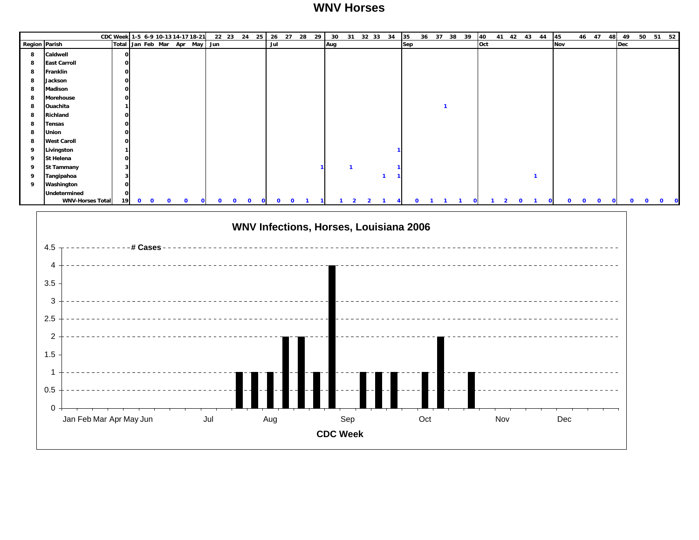#### **WNV Horses**

|               |                         | CDC Week 1-5 6-9 10-13 14-17 18-21 |           |              |              |  |   |          |          |              |          |          |              | 22 23 24 25 26 27 28 29 |     |              |  | 30 31 32 33 34 35                      |     |  | 36 37 38 39 40 |     |              | 41 42 43 44 45 |            |              |          | 46 47 48 49  |            |              |             | 50 51 52     |
|---------------|-------------------------|------------------------------------|-----------|--------------|--------------|--|---|----------|----------|--------------|----------|----------|--------------|-------------------------|-----|--------------|--|----------------------------------------|-----|--|----------------|-----|--------------|----------------|------------|--------------|----------|--------------|------------|--------------|-------------|--------------|
| Region Parish |                         | Total Jan Feb Mar Apr May Jun      |           |              |              |  |   |          |          |              |          | Jul      |              |                         | Aug |              |  |                                        | Sep |  |                | Oct |              |                | <b>Nov</b> |              |          |              | <b>Dec</b> |              |             |              |
| 8             | Caldwell                | n                                  |           |              |              |  |   |          |          |              |          |          |              |                         |     |              |  |                                        |     |  |                |     |              |                |            |              |          |              |            |              |             |              |
| 8             | <b>East Carroll</b>     |                                    |           |              |              |  |   |          |          |              |          |          |              |                         |     |              |  |                                        |     |  |                |     |              |                |            |              |          |              |            |              |             |              |
| 8             | Franklin                |                                    |           |              |              |  |   |          |          |              |          |          |              |                         |     |              |  |                                        |     |  |                |     |              |                |            |              |          |              |            |              |             |              |
| 8             | Jackson                 |                                    |           |              |              |  |   |          |          |              |          |          |              |                         |     |              |  |                                        |     |  |                |     |              |                |            |              |          |              |            |              |             |              |
| 8             | <b>Madison</b>          |                                    |           |              |              |  |   |          |          |              |          |          |              |                         |     |              |  |                                        |     |  |                |     |              |                |            |              |          |              |            |              |             |              |
| 8             | Morehouse               |                                    |           |              |              |  |   |          |          |              |          |          |              |                         |     |              |  |                                        |     |  |                |     |              |                |            |              |          |              |            |              |             |              |
| 8             | Ouachita                |                                    |           |              |              |  |   |          |          |              |          |          |              |                         |     |              |  |                                        |     |  |                |     |              |                |            |              |          |              |            |              |             |              |
| 8             | Richland                |                                    |           |              |              |  |   |          |          |              |          |          |              |                         |     |              |  |                                        |     |  |                |     |              |                |            |              |          |              |            |              |             |              |
| 8             | <b>Tensas</b>           |                                    |           |              |              |  |   |          |          |              |          |          |              |                         |     |              |  |                                        |     |  |                |     |              |                |            |              |          |              |            |              |             |              |
| 8             | Union                   |                                    |           |              |              |  |   |          |          |              |          |          |              |                         |     |              |  |                                        |     |  |                |     |              |                |            |              |          |              |            |              |             |              |
| 8             | <b>West Caroll</b>      |                                    |           |              |              |  |   |          |          |              |          |          |              |                         |     |              |  |                                        |     |  |                |     |              |                |            |              |          |              |            |              |             |              |
| q             | Livingston              |                                    |           |              |              |  |   |          |          |              |          |          |              |                         |     |              |  |                                        |     |  |                |     |              |                |            |              |          |              |            |              |             |              |
| 9             | St Helena               |                                    |           |              |              |  |   |          |          |              |          |          |              |                         |     |              |  |                                        |     |  |                |     |              |                |            |              |          |              |            |              |             |              |
| - 9           | <b>St Tammany</b>       |                                    |           |              |              |  |   |          |          |              |          |          |              |                         |     |              |  |                                        |     |  |                |     |              |                |            |              |          |              |            |              |             |              |
| - 9           | Tangipahoa              |                                    |           |              |              |  |   |          |          |              |          |          |              |                         |     |              |  |                                        |     |  |                |     |              |                |            |              |          |              |            |              |             |              |
| 9             | Washington              |                                    |           |              |              |  |   |          |          |              |          |          |              |                         |     |              |  |                                        |     |  |                |     |              |                |            |              |          |              |            |              |             |              |
|               | Undetermined            |                                    |           |              |              |  |   |          |          |              |          |          |              |                         |     |              |  |                                        |     |  |                |     |              |                |            |              |          |              |            |              |             |              |
|               | <b>WNV-Horses Total</b> | 19                                 | $\bullet$ | $\mathbf{0}$ | $\mathbf{0}$ |  | n | $\Omega$ | $\Omega$ | $\mathbf{O}$ | $\Omega$ | $\Omega$ | $\mathbf{o}$ |                         |     | $\mathbf{z}$ |  |                                        |     |  |                |     | $\mathbf{o}$ |                |            | $\mathbf{0}$ | $\Omega$ | $\mathbf{O}$ |            | $\mathbf{0}$ | $\mathbf 0$ | $\mathbf{o}$ |
|               | 4.5<br>4<br>3.5         |                                    |           | # Cases      |              |  |   |          |          |              |          |          |              |                         |     |              |  | WNV Infections, Horses, Louisiana 2006 |     |  |                |     |              |                |            |              |          |              |            |              |             |              |
|               | $\sim$                  |                                    |           |              |              |  |   |          |          |              |          |          |              |                         |     |              |  |                                        |     |  |                |     |              |                |            |              |          |              |            |              |             |              |

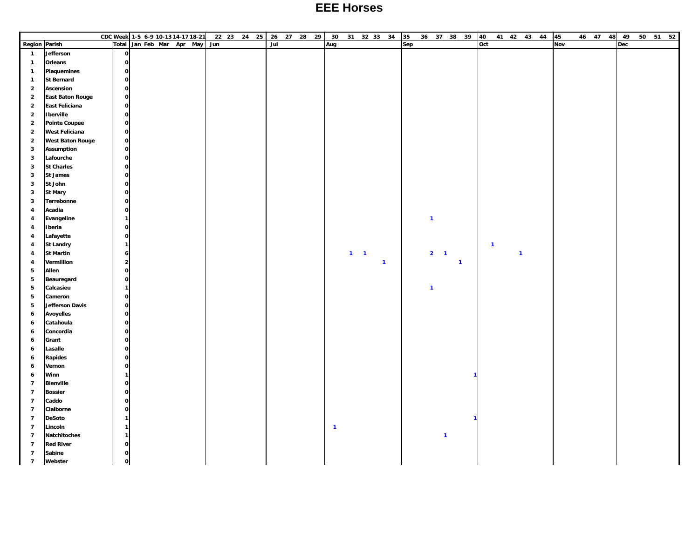#### **EEE Horses**

|                         |                         | CDC Week 1-5 6-9 10-13 14-17 18-21 |                     |  |     |  | 22 23 24 25 26 27 28 29 |     |  | 30                      |             |              | 31 32 33 34 35 |     | 36 37 38 39    |              |              | 40                      |              | 41 42 43 44 45 |     |  | 46 47 48 49 |  | 50 51 52 |
|-------------------------|-------------------------|------------------------------------|---------------------|--|-----|--|-------------------------|-----|--|-------------------------|-------------|--------------|----------------|-----|----------------|--------------|--------------|-------------------------|--------------|----------------|-----|--|-------------|--|----------|
| <b>Region Parish</b>    |                         | Total                              | Jan Feb Mar Apr May |  | Jun |  |                         | Jul |  | Aug                     |             |              |                | Sep |                |              |              | Oct                     |              |                | Nov |  | Dec         |  |          |
| $\overline{1}$          | Jefferson               | $\mathbf{o}$                       |                     |  |     |  |                         |     |  |                         |             |              |                |     |                |              |              |                         |              |                |     |  |             |  |          |
| $\mathbf{1}$            | Orleans                 | $\mathbf{o}$                       |                     |  |     |  |                         |     |  |                         |             |              |                |     |                |              |              |                         |              |                |     |  |             |  |          |
| $\mathbf{1}$            | Plaquemines             | $\mathbf{o}$                       |                     |  |     |  |                         |     |  |                         |             |              |                |     |                |              |              |                         |              |                |     |  |             |  |          |
| $\mathbf{1}$            | <b>St Bernard</b>       | $\mathbf{o}$                       |                     |  |     |  |                         |     |  |                         |             |              |                |     |                |              |              |                         |              |                |     |  |             |  |          |
| $\overline{2}$          | Ascension               | $\mathbf{o}$                       |                     |  |     |  |                         |     |  |                         |             |              |                |     |                |              |              |                         |              |                |     |  |             |  |          |
| $\overline{\mathbf{2}}$ | <b>East Baton Rouge</b> | $\mathbf{o}$                       |                     |  |     |  |                         |     |  |                         |             |              |                |     |                |              |              |                         |              |                |     |  |             |  |          |
| $\overline{2}$          | East Feliciana          | $\mathbf{o}$                       |                     |  |     |  |                         |     |  |                         |             |              |                |     |                |              |              |                         |              |                |     |  |             |  |          |
| $\overline{2}$          | <b>Iberville</b>        | $\mathbf{o}$                       |                     |  |     |  |                         |     |  |                         |             |              |                |     |                |              |              |                         |              |                |     |  |             |  |          |
| $\overline{2}$          | <b>Pointe Coupee</b>    | $\mathbf{o}$                       |                     |  |     |  |                         |     |  |                         |             |              |                |     |                |              |              |                         |              |                |     |  |             |  |          |
| $\overline{2}$          | <b>West Feliciana</b>   | $\mathbf{o}$                       |                     |  |     |  |                         |     |  |                         |             |              |                |     |                |              |              |                         |              |                |     |  |             |  |          |
| $\overline{2}$          | <b>West Baton Rouge</b> | $\mathbf{o}$                       |                     |  |     |  |                         |     |  |                         |             |              |                |     |                |              |              |                         |              |                |     |  |             |  |          |
| $\mathbf{3}$            | <b>Assumption</b>       | $\mathbf{o}$                       |                     |  |     |  |                         |     |  |                         |             |              |                |     |                |              |              |                         |              |                |     |  |             |  |          |
| $\mathbf{3}$            | Lafourche               | $\mathbf{o}$                       |                     |  |     |  |                         |     |  |                         |             |              |                |     |                |              |              |                         |              |                |     |  |             |  |          |
| $\mathbf{3}$            | <b>St Charles</b>       | $\mathbf{o}$                       |                     |  |     |  |                         |     |  |                         |             |              |                |     |                |              |              |                         |              |                |     |  |             |  |          |
| $\mathbf{3}$            | <b>St James</b>         | $\mathbf{o}$                       |                     |  |     |  |                         |     |  |                         |             |              |                |     |                |              |              |                         |              |                |     |  |             |  |          |
| $\mathbf{3}$            | St John                 | $\mathbf{o}$                       |                     |  |     |  |                         |     |  |                         |             |              |                |     |                |              |              |                         |              |                |     |  |             |  |          |
| $\mathbf{3}$            | <b>St Mary</b>          | $\mathbf{o}$                       |                     |  |     |  |                         |     |  |                         |             |              |                |     |                |              |              |                         |              |                |     |  |             |  |          |
| $\mathbf{3}$            | Terrebonne              | $\mathbf{o}$                       |                     |  |     |  |                         |     |  |                         |             |              |                |     |                |              |              |                         |              |                |     |  |             |  |          |
| $\overline{\mathbf{4}}$ | Acadia                  | $\mathbf{o}$                       |                     |  |     |  |                         |     |  |                         |             |              |                |     |                |              |              |                         |              |                |     |  |             |  |          |
| $\overline{\mathbf{4}}$ | Evangeline              | $\mathbf{1}$                       |                     |  |     |  |                         |     |  |                         |             |              |                |     | $\overline{1}$ |              |              |                         |              |                |     |  |             |  |          |
| 4                       | Iberia                  | $\mathbf 0$                        |                     |  |     |  |                         |     |  |                         |             |              |                |     |                |              |              |                         |              |                |     |  |             |  |          |
| $\overline{\mathbf{4}}$ | Lafayette               | $\mathbf{o}$                       |                     |  |     |  |                         |     |  |                         |             |              |                |     |                |              |              |                         |              |                |     |  |             |  |          |
| $\overline{\mathbf{4}}$ | <b>St Landry</b>        | $\mathbf{1}$                       |                     |  |     |  |                         |     |  |                         |             |              |                |     |                |              |              | $\overline{\mathbf{1}}$ |              |                |     |  |             |  |          |
| $\overline{\mathbf{4}}$ | <b>St Martin</b>        | $\boldsymbol{6}$                   |                     |  |     |  |                         |     |  |                         | $1 \quad 1$ |              |                |     | $2 \quad 1$    |              |              |                         | $\mathbf{1}$ |                |     |  |             |  |          |
| 4                       | Vermillion              | $\overline{2}$                     |                     |  |     |  |                         |     |  |                         |             | $\mathbf{1}$ |                |     |                | $\mathbf{1}$ |              |                         |              |                |     |  |             |  |          |
| ${\bf 5}$               | Allen                   | $\mathbf{o}$                       |                     |  |     |  |                         |     |  |                         |             |              |                |     |                |              |              |                         |              |                |     |  |             |  |          |
| ${\bf 5}$               | Beauregard              | $\mathbf{o}$                       |                     |  |     |  |                         |     |  |                         |             |              |                |     |                |              |              |                         |              |                |     |  |             |  |          |
| $5\phantom{.0}$         | Calcasieu               | $\mathbf{1}$                       |                     |  |     |  |                         |     |  |                         |             |              |                |     | $\overline{1}$ |              |              |                         |              |                |     |  |             |  |          |
| $5\phantom{.0}$         | Cameron                 | $\mathbf 0$                        |                     |  |     |  |                         |     |  |                         |             |              |                |     |                |              |              |                         |              |                |     |  |             |  |          |
| ${\bf 5}$               | Jefferson Davis         | $\mathbf{o}$                       |                     |  |     |  |                         |     |  |                         |             |              |                |     |                |              |              |                         |              |                |     |  |             |  |          |
| $\boldsymbol{6}$        | <b>Avoyelles</b>        | $\mathbf{o}$                       |                     |  |     |  |                         |     |  |                         |             |              |                |     |                |              |              |                         |              |                |     |  |             |  |          |
| $\boldsymbol{6}$        | Catahoula               | $\mathbf{o}$                       |                     |  |     |  |                         |     |  |                         |             |              |                |     |                |              |              |                         |              |                |     |  |             |  |          |
| $\boldsymbol{6}$        | Concordia               | $\mathbf{o}$                       |                     |  |     |  |                         |     |  |                         |             |              |                |     |                |              |              |                         |              |                |     |  |             |  |          |
| 6                       | Grant                   | $\mathbf{o}$                       |                     |  |     |  |                         |     |  |                         |             |              |                |     |                |              |              |                         |              |                |     |  |             |  |          |
| $\boldsymbol{6}$        | Lasalle                 | $\mathbf{o}$                       |                     |  |     |  |                         |     |  |                         |             |              |                |     |                |              |              |                         |              |                |     |  |             |  |          |
| $\boldsymbol{6}$        | Rapides                 | $\mathbf{o}$                       |                     |  |     |  |                         |     |  |                         |             |              |                |     |                |              |              |                         |              |                |     |  |             |  |          |
| $\boldsymbol{6}$        | Vernon                  | $\mathbf{o}$                       |                     |  |     |  |                         |     |  |                         |             |              |                |     |                |              |              |                         |              |                |     |  |             |  |          |
| $\boldsymbol{6}$        | Winn                    | $\mathbf{1}$                       |                     |  |     |  |                         |     |  |                         |             |              |                |     |                |              |              |                         |              |                |     |  |             |  |          |
| $\overline{7}$          | <b>Bienville</b>        | $\mathbf 0$                        |                     |  |     |  |                         |     |  |                         |             |              |                |     |                |              |              |                         |              |                |     |  |             |  |          |
| $\overline{7}$          | <b>Bossier</b>          | $\mathbf{o}$                       |                     |  |     |  |                         |     |  |                         |             |              |                |     |                |              |              |                         |              |                |     |  |             |  |          |
| $\overline{7}$          | Caddo                   | $\mathbf 0$                        |                     |  |     |  |                         |     |  |                         |             |              |                |     |                |              |              |                         |              |                |     |  |             |  |          |
| $\overline{7}$          | Claiborne               | $\mathbf{o}$                       |                     |  |     |  |                         |     |  |                         |             |              |                |     |                |              |              |                         |              |                |     |  |             |  |          |
| $\overline{7}$          | <b>DeSoto</b>           | $\mathbf{1}$                       |                     |  |     |  |                         |     |  |                         |             |              |                |     |                |              | $\mathbf{1}$ |                         |              |                |     |  |             |  |          |
| $\overline{7}$          | Lincoln                 | $\mathbf{1}$                       |                     |  |     |  |                         |     |  | $\overline{\mathbf{1}}$ |             |              |                |     |                |              |              |                         |              |                |     |  |             |  |          |
| $\overline{7}$          | <b>Natchitoches</b>     | $\mathbf{1}$                       |                     |  |     |  |                         |     |  |                         |             |              |                |     | $\mathbf{1}$   |              |              |                         |              |                |     |  |             |  |          |
| $\overline{7}$          | <b>Red River</b>        | $\mathbf{o}$                       |                     |  |     |  |                         |     |  |                         |             |              |                |     |                |              |              |                         |              |                |     |  |             |  |          |
| $\overline{7}$          | Sabine                  | $\mathbf{o}$                       |                     |  |     |  |                         |     |  |                         |             |              |                |     |                |              |              |                         |              |                |     |  |             |  |          |
| $\overline{7}$          | Webster                 | $\mathbf{o}$                       |                     |  |     |  |                         |     |  |                         |             |              |                |     |                |              |              |                         |              |                |     |  |             |  |          |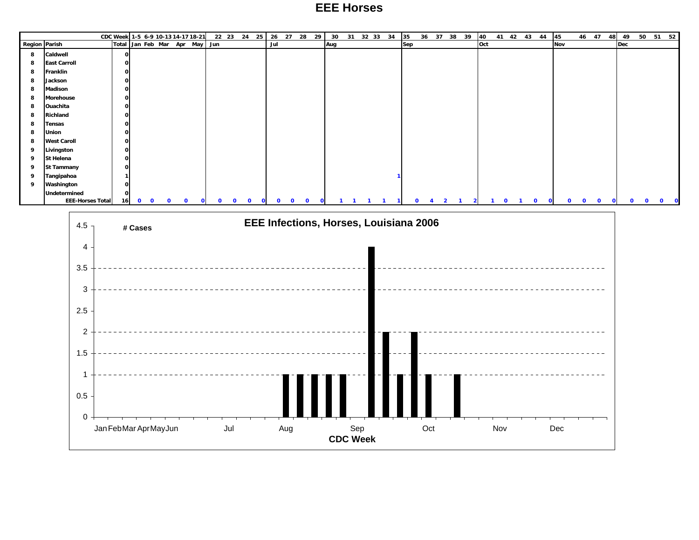#### **EEE Horses**

|               |                         | CDC Week 1-5 6-9 10-13 14-17 18-21 |              |             |              |             |              |                               |   |              |   | 22 23 24 25 |              |              |              | 26 27 28 29 | 30  | 31 |  | 32 33 34 | 35  | 36 37 38 39    |                | 40  |             |  | 41 42 43 44                 | 45  |                            | 46 47 |          | 48           | 49  | 50           | 51 52                    |
|---------------|-------------------------|------------------------------------|--------------|-------------|--------------|-------------|--------------|-------------------------------|---|--------------|---|-------------|--------------|--------------|--------------|-------------|-----|----|--|----------|-----|----------------|----------------|-----|-------------|--|-----------------------------|-----|----------------------------|-------|----------|--------------|-----|--------------|--------------------------|
| Region Parish |                         |                                    |              |             |              |             |              | Total Jan Feb Mar Apr May Jun |   |              |   |             |              | Jul          |              |             | Aug |    |  |          | Sep |                |                | Oct |             |  |                             | Nov |                            |       |          |              | Dec |              |                          |
| 8             | Caldwell                |                                    | $\mathbf{o}$ |             |              |             |              |                               |   |              |   |             |              |              |              |             |     |    |  |          |     |                |                |     |             |  |                             |     |                            |       |          |              |     |              |                          |
| 8             | <b>East Carroll</b>     |                                    | $\mathbf 0$  |             |              |             |              |                               |   |              |   |             |              |              |              |             |     |    |  |          |     |                |                |     |             |  |                             |     |                            |       |          |              |     |              |                          |
| 8             | Franklin                |                                    | $\mathbf 0$  |             |              |             |              |                               |   |              |   |             |              |              |              |             |     |    |  |          |     |                |                |     |             |  |                             |     |                            |       |          |              |     |              |                          |
| 8             | Jackson                 |                                    | $\mathbf 0$  |             |              |             |              |                               |   |              |   |             |              |              |              |             |     |    |  |          |     |                |                |     |             |  |                             |     |                            |       |          |              |     |              |                          |
| 8             | Madison                 |                                    | $\mathbf 0$  |             |              |             |              |                               |   |              |   |             |              |              |              |             |     |    |  |          |     |                |                |     |             |  |                             |     |                            |       |          |              |     |              |                          |
| 8             | Morehouse               |                                    | $\mathbf{o}$ |             |              |             |              |                               |   |              |   |             |              |              |              |             |     |    |  |          |     |                |                |     |             |  |                             |     |                            |       |          |              |     |              |                          |
| 8             | Ouachita                |                                    | $\mathbf 0$  |             |              |             |              |                               |   |              |   |             |              |              |              |             |     |    |  |          |     |                |                |     |             |  |                             |     |                            |       |          |              |     |              |                          |
| 8             | Richland                |                                    | $\mathbf{o}$ |             |              |             |              |                               |   |              |   |             |              |              |              |             |     |    |  |          |     |                |                |     |             |  |                             |     |                            |       |          |              |     |              |                          |
| 8             | <b>Tensas</b>           |                                    | $\mathbf 0$  |             |              |             |              |                               |   |              |   |             |              |              |              |             |     |    |  |          |     |                |                |     |             |  |                             |     |                            |       |          |              |     |              |                          |
| 8             | <b>Union</b>            |                                    | $\mathbf 0$  |             |              |             |              |                               |   |              |   |             |              |              |              |             |     |    |  |          |     |                |                |     |             |  |                             |     |                            |       |          |              |     |              |                          |
| 8             | <b>West Caroll</b>      |                                    | $\mathbf 0$  |             |              |             |              |                               |   |              |   |             |              |              |              |             |     |    |  |          |     |                |                |     |             |  |                             |     |                            |       |          |              |     |              |                          |
| 9             | Livingston              |                                    | $\mathbf 0$  |             |              |             |              |                               |   |              |   |             |              |              |              |             |     |    |  |          |     |                |                |     |             |  |                             |     |                            |       |          |              |     |              |                          |
| 9             | St Helena               |                                    | $\mathbf 0$  |             |              |             |              |                               |   |              |   |             |              |              |              |             |     |    |  |          |     |                |                |     |             |  |                             |     |                            |       |          |              |     |              |                          |
| 9             | <b>St Tammany</b>       |                                    | $\mathbf 0$  |             |              |             |              |                               |   |              |   |             |              |              |              |             |     |    |  |          |     |                |                |     |             |  |                             |     |                            |       |          |              |     |              |                          |
| 9             | Tangipahoa              |                                    |              |             |              |             |              |                               |   |              |   |             |              |              |              |             |     |    |  |          |     |                |                |     |             |  |                             |     |                            |       |          |              |     |              |                          |
| 9             | Washington              |                                    | $\mathbf 0$  |             |              |             |              |                               |   |              |   |             |              |              |              |             |     |    |  |          |     |                |                |     |             |  |                             |     |                            |       |          |              |     |              |                          |
|               | Undetermined            |                                    | $\mathbf{0}$ |             |              |             |              |                               |   |              |   |             |              |              |              |             |     |    |  |          |     |                |                |     |             |  |                             |     |                            |       |          |              |     |              |                          |
|               | <b>EEE-Horses Total</b> |                                    | 16           | $\mathbf 0$ | $\mathbf{o}$ | $\mathbf 0$ | $\mathbf{0}$ |                               | o | $\mathbf{o}$ | 0 | $\Omega$    | $\mathbf{O}$ | $\mathbf{0}$ | $\mathbf{o}$ | $\Omega$    |     |    |  |          |     | $\overline{2}$ | $\overline{2}$ |     | $\mathbf 0$ |  | $\mathbf 0$<br>$\mathbf{o}$ |     | $\mathbf 0$<br>$\mathbf 0$ |       | $\Omega$ | $\mathbf{O}$ | 0   | $\mathbf{O}$ | $\mathbf{O}$<br>$\Omega$ |